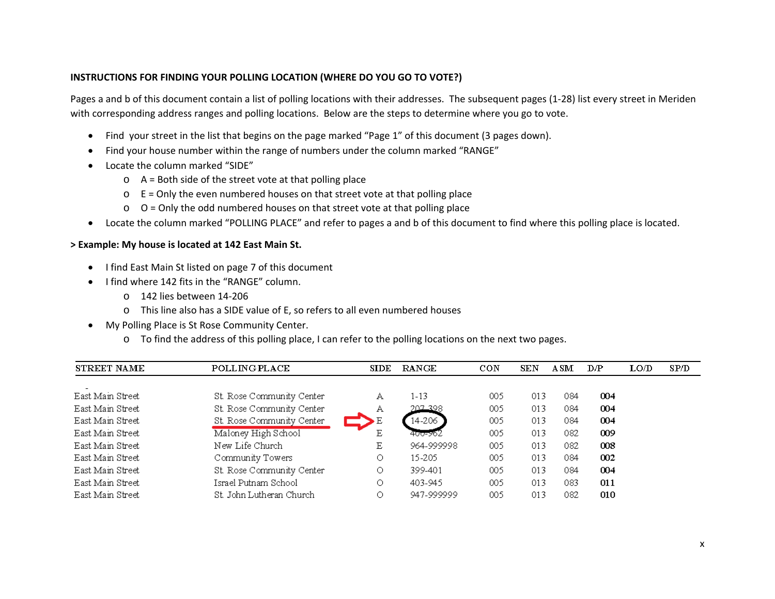## **INSTRUCTIONS FOR FINDING YOUR POLLING LOCATION (WHERE DO YOU GO TO VOTE?)**

Pages a and b of this document contain a list of polling locations with their addresses. The subsequent pages (1‐28) list every street in Meriden with corresponding address ranges and polling locations. Below are the steps to determine where you go to vote.

- $\bullet$ Find your street in the list that begins on the page marked "Page 1" of this document (3 pages down).
- $\bullet$ Find your house number within the range of numbers under the column marked "RANGE"
- $\bullet$  Locate the column marked "SIDE"
	- $\circ$  A = Both side of the street vote at that polling place
	- $\circ$   $E$  = Only the even numbered houses on that street vote at that polling place
	- $\circ$   $\circ$  O = Only the odd numbered houses on that street vote at that polling place
- Locate the column marked "POLLING PLACE" and refer to pages a and b of this document to find where this polling place is located.

## **> Example: My house is located at 142 East Main St.**

- I find East Main St listed on page 7 of this document
- $\bullet$  I find where 142 fits in the "RANGE" column.
	- o 142 lies between 14‐206
	- o This line also has a SIDE value of E, so refers to all even numbered houses
- My Polling Place is St Rose Community Center.
	- o To find the address of this polling place, I can refer to the polling locations on the next two pages.

| <b>STREET NAME</b> | POLLING PLACE             | <b>SIDE</b> | <b>RANGE</b> | <b>CON</b> | SEN | A SM | D/P | LO/D | <b>SP/D</b> |
|--------------------|---------------------------|-------------|--------------|------------|-----|------|-----|------|-------------|
|                    |                           |             |              |            |     |      |     |      |             |
| East Main Street   | St. Rose Community Center | А           | 1-13         | 005        | 013 | 084  | 004 |      |             |
| East Main Street   | St. Rose Community Center | А           | 202_398      | 005        | 013 | 084  | 004 |      |             |
| East Main Street   | St. Rose Community Center |             | 14-206       | 005        | 013 | 084  | 004 |      |             |
| East Main Street   | Maloney High School       | Ε           | 400-962      | 005        | 013 | 082  | 009 |      |             |
| East Main Street   | New Life Church           | Ε           | 964-999998   | 005        | 013 | 082  | 008 |      |             |
| East Main Street   | Community Towers          | О           | 15-205       | 005        | 013 | 084  | 002 |      |             |
| East Main Street   | St. Rose Community Center | О           | 399-401      | 005        | 013 | 084  | 004 |      |             |
| East Main Street   | Israel Putnam School      | $\circ$     | 403-945      | 005        | 013 | 083  | 011 |      |             |
| East Main Street   | St. John Lutheran Church  | О           | 947-999999   | 005        | 013 | 082  | 010 |      |             |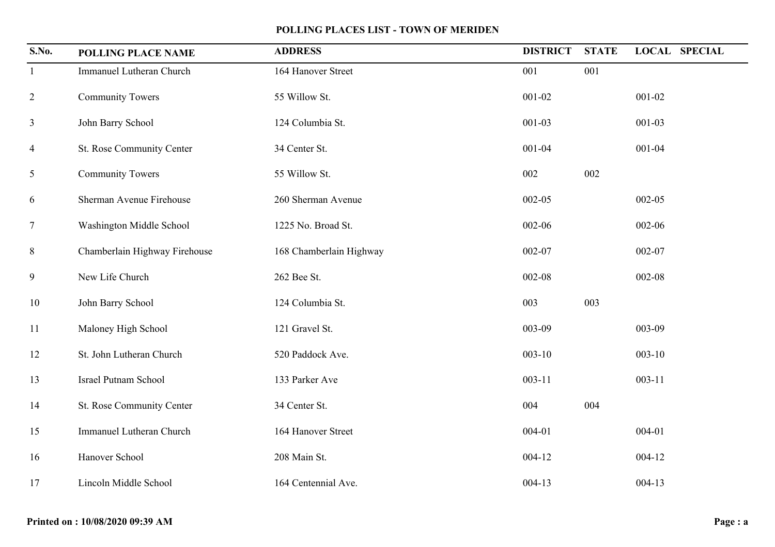## **POLLING PLACES LIST - TOWN OF MERIDEN**

| S.No.          | <b>POLLING PLACE NAME</b>       | <b>ADDRESS</b>          | <b>DISTRICT</b> | <b>STATE</b> | <b>LOCAL SPECIAL</b> |
|----------------|---------------------------------|-------------------------|-----------------|--------------|----------------------|
| $\mathbf{1}$   | <b>Immanuel Lutheran Church</b> | 164 Hanover Street      | 001             | 001          |                      |
| $\overline{2}$ | <b>Community Towers</b>         | 55 Willow St.           | $001 - 02$      |              | $001 - 02$           |
| $\mathfrak{Z}$ | John Barry School               | 124 Columbia St.        | $001 - 03$      |              | $001 - 03$           |
| $\overline{4}$ | St. Rose Community Center       | 34 Center St.           | $001 - 04$      |              | $001 - 04$           |
| 5              | <b>Community Towers</b>         | 55 Willow St.           | 002             | 002          |                      |
| 6              | Sherman Avenue Firehouse        | 260 Sherman Avenue      | 002-05          |              | $002 - 05$           |
| $\tau$         | Washington Middle School        | 1225 No. Broad St.      | 002-06          |              | 002-06               |
| 8              | Chamberlain Highway Firehouse   | 168 Chamberlain Highway | 002-07          |              | 002-07               |
| 9              | New Life Church                 | 262 Bee St.             | 002-08          |              | 002-08               |
| 10             | John Barry School               | 124 Columbia St.        | 003             | 003          |                      |
| 11             | Maloney High School             | 121 Gravel St.          | 003-09          |              | 003-09               |
| 12             | St. John Lutheran Church        | 520 Paddock Ave.        | $003 - 10$      |              | $003 - 10$           |
| 13             | Israel Putnam School            | 133 Parker Ave          | $003 - 11$      |              | $003 - 11$           |
| 14             | St. Rose Community Center       | 34 Center St.           | 004             | 004          |                      |
| 15             | <b>Immanuel Lutheran Church</b> | 164 Hanover Street      | 004-01          |              | $004 - 01$           |
| 16             | Hanover School                  | 208 Main St.            | $004 - 12$      |              | $004 - 12$           |
| 17             | Lincoln Middle School           | 164 Centennial Ave.     | $004 - 13$      |              | $004 - 13$           |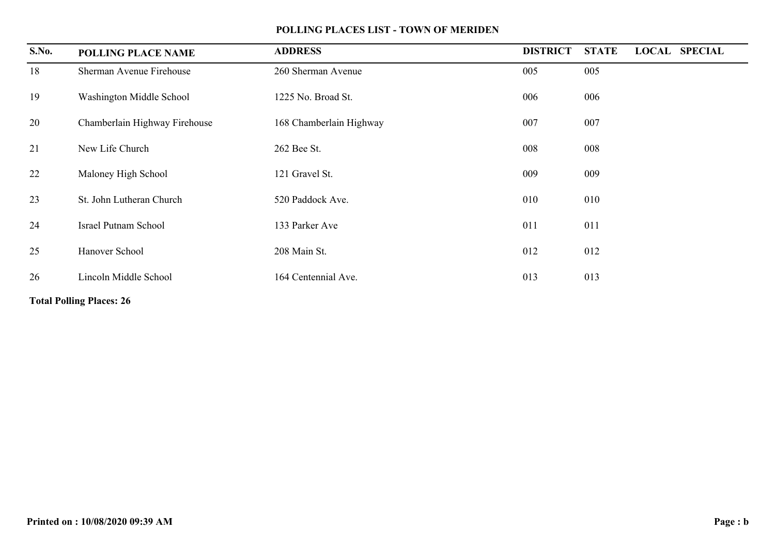## **POLLING PLACES LIST - TOWN OF MERIDEN**

| S.No. | POLLING PLACE NAME            | <b>ADDRESS</b>          | <b>DISTRICT</b> | <b>STATE</b><br><b>LOCAL SPECIAL</b> |
|-------|-------------------------------|-------------------------|-----------------|--------------------------------------|
| 18    | Sherman Avenue Firehouse      | 260 Sherman Avenue      | 005             | 005                                  |
| 19    | Washington Middle School      | 1225 No. Broad St.      | 006             | 006                                  |
| 20    | Chamberlain Highway Firehouse | 168 Chamberlain Highway | 007             | 007                                  |
| 21    | New Life Church               | 262 Bee St.             | 008             | 008                                  |
| 22    | Maloney High School           | 121 Gravel St.          | 009             | 009                                  |
| 23    | St. John Lutheran Church      | 520 Paddock Ave.        | 010             | 010                                  |
| 24    | <b>Israel Putnam School</b>   | 133 Parker Ave          | 011             | 011                                  |
| 25    | Hanover School                | 208 Main St.            | 012             | 012                                  |
| 26    | Lincoln Middle School         | 164 Centennial Ave.     | 013             | 013                                  |

 **Total Polling Places: 26**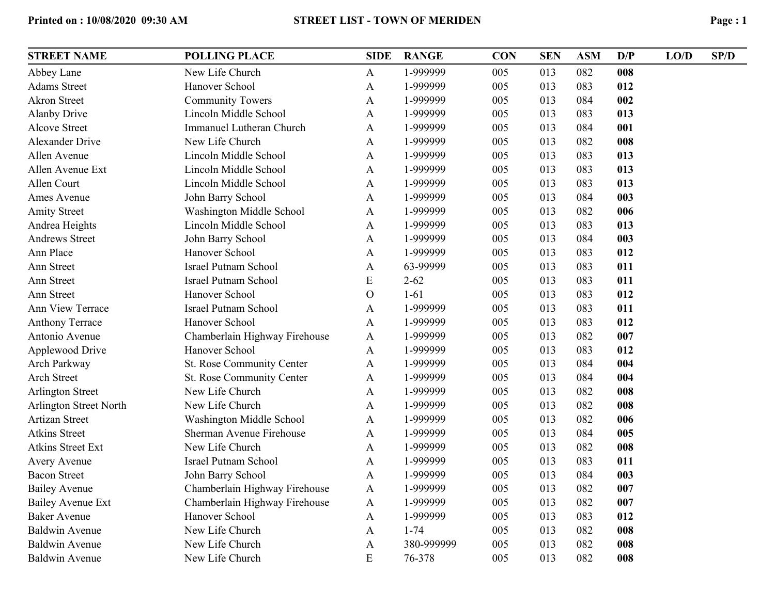| <b>STREET NAME</b>       | <b>POLLING PLACE</b>          | <b>SIDE</b>    | <b>RANGE</b> | <b>CON</b> | <b>SEN</b> | <b>ASM</b> | D/P | LO/D | SP/D |
|--------------------------|-------------------------------|----------------|--------------|------------|------------|------------|-----|------|------|
| Abbey Lane               | New Life Church               | A              | 1-999999     | 005        | 013        | 082        | 008 |      |      |
| <b>Adams Street</b>      | Hanover School                | $\mathbf{A}$   | 1-999999     | 005        | 013        | 083        | 012 |      |      |
| <b>Akron Street</b>      | <b>Community Towers</b>       | A              | 1-999999     | 005        | 013        | 084        | 002 |      |      |
| <b>Alanby Drive</b>      | Lincoln Middle School         | A              | 1-999999     | 005        | 013        | 083        | 013 |      |      |
| <b>Alcove Street</b>     | Immanuel Lutheran Church      | A              | 1-999999     | 005        | 013        | 084        | 001 |      |      |
| <b>Alexander Drive</b>   | New Life Church               | A              | 1-999999     | 005        | 013        | 082        | 008 |      |      |
| Allen Avenue             | Lincoln Middle School         | A              | 1-999999     | 005        | 013        | 083        | 013 |      |      |
| Allen Avenue Ext         | Lincoln Middle School         | A              | 1-999999     | 005        | 013        | 083        | 013 |      |      |
| Allen Court              | Lincoln Middle School         | A              | 1-999999     | 005        | 013        | 083        | 013 |      |      |
| Ames Avenue              | John Barry School             | A              | 1-999999     | 005        | 013        | 084        | 003 |      |      |
| <b>Amity Street</b>      | Washington Middle School      | A              | 1-999999     | 005        | 013        | 082        | 006 |      |      |
| Andrea Heights           | Lincoln Middle School         | A              | 1-999999     | 005        | 013        | 083        | 013 |      |      |
| <b>Andrews Street</b>    | John Barry School             | A              | 1-999999     | 005        | 013        | 084        | 003 |      |      |
| Ann Place                | Hanover School                | A              | 1-999999     | 005        | 013        | 083        | 012 |      |      |
| Ann Street               | <b>Israel Putnam School</b>   | A              | 63-99999     | 005        | 013        | 083        | 011 |      |      |
| Ann Street               | <b>Israel Putnam School</b>   | E              | $2 - 62$     | 005        | 013        | 083        | 011 |      |      |
| Ann Street               | Hanover School                | $\overline{O}$ | $1-61$       | 005        | 013        | 083        | 012 |      |      |
| Ann View Terrace         | <b>Israel Putnam School</b>   | A              | 1-999999     | 005        | 013        | 083        | 011 |      |      |
| Anthony Terrace          | Hanover School                | A              | 1-999999     | 005        | 013        | 083        | 012 |      |      |
| Antonio Avenue           | Chamberlain Highway Firehouse | $\mathbf{A}$   | 1-999999     | 005        | 013        | 082        | 007 |      |      |
| Applewood Drive          | Hanover School                | A              | 1-999999     | 005        | 013        | 083        | 012 |      |      |
| Arch Parkway             | St. Rose Community Center     | $\mathbf{A}$   | 1-999999     | 005        | 013        | 084        | 004 |      |      |
| <b>Arch Street</b>       | St. Rose Community Center     | $\mathbf{A}$   | 1-999999     | 005        | 013        | 084        | 004 |      |      |
| <b>Arlington Street</b>  | New Life Church               | A              | 1-999999     | 005        | 013        | 082        | 008 |      |      |
| Arlington Street North   | New Life Church               | A              | 1-999999     | 005        | 013        | 082        | 008 |      |      |
| <b>Artizan Street</b>    | Washington Middle School      | $\mathbf{A}$   | 1-999999     | 005        | 013        | 082        | 006 |      |      |
| <b>Atkins Street</b>     | Sherman Avenue Firehouse      | $\mathbf{A}$   | 1-999999     | 005        | 013        | 084        | 005 |      |      |
| <b>Atkins Street Ext</b> | New Life Church               | A              | 1-999999     | 005        | 013        | 082        | 008 |      |      |
| Avery Avenue             | <b>Israel Putnam School</b>   | $\mathbf{A}$   | 1-999999     | 005        | 013        | 083        | 011 |      |      |
| <b>Bacon Street</b>      | John Barry School             | $\mathbf{A}$   | 1-999999     | 005        | 013        | 084        | 003 |      |      |
| <b>Bailey Avenue</b>     | Chamberlain Highway Firehouse | $\mathbf{A}$   | 1-999999     | 005        | 013        | 082        | 007 |      |      |
| <b>Bailey Avenue Ext</b> | Chamberlain Highway Firehouse | A              | 1-999999     | 005        | 013        | 082        | 007 |      |      |
| <b>Baker Avenue</b>      | Hanover School                | A              | 1-999999     | 005        | 013        | 083        | 012 |      |      |
| <b>Baldwin Avenue</b>    | New Life Church               | A              | $1 - 74$     | 005        | 013        | 082        | 008 |      |      |
| <b>Baldwin Avenue</b>    | New Life Church               | $\mathbf{A}$   | 380-999999   | 005        | 013        | 082        | 008 |      |      |
| <b>Baldwin Avenue</b>    | New Life Church               | E              | 76-378       | 005        | 013        | 082        | 008 |      |      |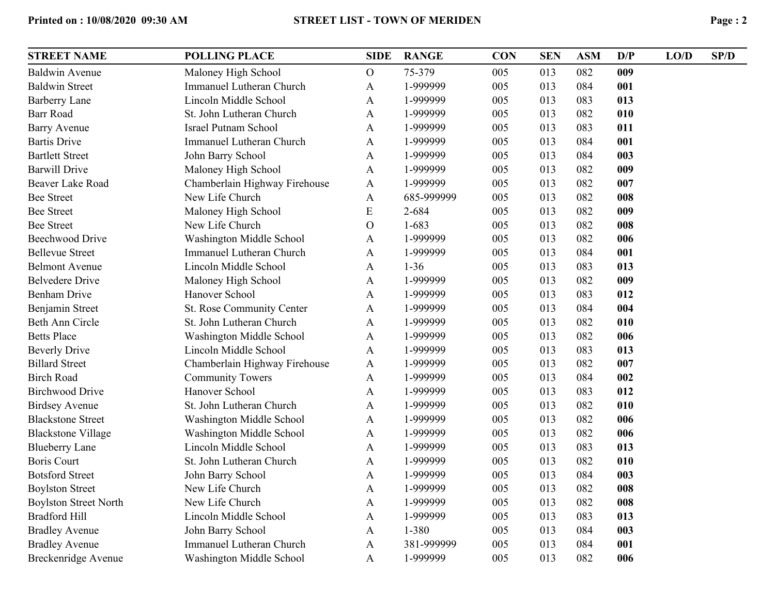| <b>STREET NAME</b>           | <b>POLLING PLACE</b>            | <b>SIDE</b>    | <b>RANGE</b> | <b>CON</b> | <b>SEN</b> | <b>ASM</b> | D/P | LO/D | SP/D |
|------------------------------|---------------------------------|----------------|--------------|------------|------------|------------|-----|------|------|
| <b>Baldwin Avenue</b>        | Maloney High School             | $\overline{O}$ | 75-379       | 005        | 013        | 082        | 009 |      |      |
| <b>Baldwin Street</b>        | <b>Immanuel Lutheran Church</b> | $\mathbf{A}$   | 1-999999     | 005        | 013        | 084        | 001 |      |      |
| <b>Barberry Lane</b>         | Lincoln Middle School           | A              | 1-999999     | 005        | 013        | 083        | 013 |      |      |
| <b>Barr Road</b>             | St. John Lutheran Church        | $\mathbf{A}$   | 1-999999     | 005        | 013        | 082        | 010 |      |      |
| <b>Barry Avenue</b>          | <b>Israel Putnam School</b>     | A              | 1-999999     | 005        | 013        | 083        | 011 |      |      |
| <b>Bartis Drive</b>          | Immanuel Lutheran Church        | $\mathbf{A}$   | 1-999999     | 005        | 013        | 084        | 001 |      |      |
| <b>Bartlett Street</b>       | John Barry School               | A              | 1-999999     | 005        | 013        | 084        | 003 |      |      |
| <b>Barwill Drive</b>         | Maloney High School             | A              | 1-999999     | 005        | 013        | 082        | 009 |      |      |
| <b>Beaver Lake Road</b>      | Chamberlain Highway Firehouse   | A              | 1-999999     | 005        | 013        | 082        | 007 |      |      |
| <b>Bee Street</b>            | New Life Church                 | A              | 685-999999   | 005        | 013        | 082        | 008 |      |      |
| <b>Bee Street</b>            | Maloney High School             | ${\bf E}$      | 2-684        | 005        | 013        | 082        | 009 |      |      |
| <b>Bee Street</b>            | New Life Church                 | $\mathcal{O}$  | 1-683        | 005        | 013        | 082        | 008 |      |      |
| <b>Beechwood Drive</b>       | Washington Middle School        | A              | 1-999999     | 005        | 013        | 082        | 006 |      |      |
| <b>Bellevue Street</b>       | <b>Immanuel Lutheran Church</b> | A              | 1-999999     | 005        | 013        | 084        | 001 |      |      |
| <b>Belmont Avenue</b>        | Lincoln Middle School           | A              | $1 - 36$     | 005        | 013        | 083        | 013 |      |      |
| <b>Belvedere Drive</b>       | Maloney High School             | A              | 1-999999     | 005        | 013        | 082        | 009 |      |      |
| <b>Benham Drive</b>          | Hanover School                  | A              | 1-999999     | 005        | 013        | 083        | 012 |      |      |
| Benjamin Street              | St. Rose Community Center       | A              | 1-999999     | 005        | 013        | 084        | 004 |      |      |
| <b>Beth Ann Circle</b>       | St. John Lutheran Church        | A              | 1-999999     | 005        | 013        | 082        | 010 |      |      |
| <b>Betts Place</b>           | Washington Middle School        | A              | 1-999999     | 005        | 013        | 082        | 006 |      |      |
| <b>Beverly Drive</b>         | Lincoln Middle School           | A              | 1-999999     | 005        | 013        | 083        | 013 |      |      |
| <b>Billard Street</b>        | Chamberlain Highway Firehouse   | A              | 1-999999     | 005        | 013        | 082        | 007 |      |      |
| <b>Birch Road</b>            | <b>Community Towers</b>         | A              | 1-999999     | 005        | 013        | 084        | 002 |      |      |
| <b>Birchwood Drive</b>       | Hanover School                  | A              | 1-999999     | 005        | 013        | 083        | 012 |      |      |
| <b>Birdsey Avenue</b>        | St. John Lutheran Church        | A              | 1-999999     | 005        | 013        | 082        | 010 |      |      |
| <b>Blackstone Street</b>     | Washington Middle School        | A              | 1-999999     | 005        | 013        | 082        | 006 |      |      |
| <b>Blackstone Village</b>    | Washington Middle School        | A              | 1-999999     | 005        | 013        | 082        | 006 |      |      |
| <b>Blueberry Lane</b>        | Lincoln Middle School           | A              | 1-999999     | 005        | 013        | 083        | 013 |      |      |
| <b>Boris Court</b>           | St. John Lutheran Church        | A              | 1-999999     | 005        | 013        | 082        | 010 |      |      |
| <b>Botsford Street</b>       | John Barry School               | A              | 1-999999     | 005        | 013        | 084        | 003 |      |      |
| <b>Boylston Street</b>       | New Life Church                 | A              | 1-999999     | 005        | 013        | 082        | 008 |      |      |
| <b>Boylston Street North</b> | New Life Church                 | A              | 1-999999     | 005        | 013        | 082        | 008 |      |      |
| <b>Bradford Hill</b>         | Lincoln Middle School           | $\mathbf{A}$   | 1-999999     | 005        | 013        | 083        | 013 |      |      |
| <b>Bradley Avenue</b>        | John Barry School               | $\mathbf{A}$   | 1-380        | 005        | 013        | 084        | 003 |      |      |
| <b>Bradley Avenue</b>        | <b>Immanuel Lutheran Church</b> | $\mathbf{A}$   | 381-999999   | 005        | 013        | 084        | 001 |      |      |
| <b>Breckenridge Avenue</b>   | Washington Middle School        | $\mathbf{A}$   | 1-999999     | 005        | 013        | 082        | 006 |      |      |
|                              |                                 |                |              |            |            |            |     |      |      |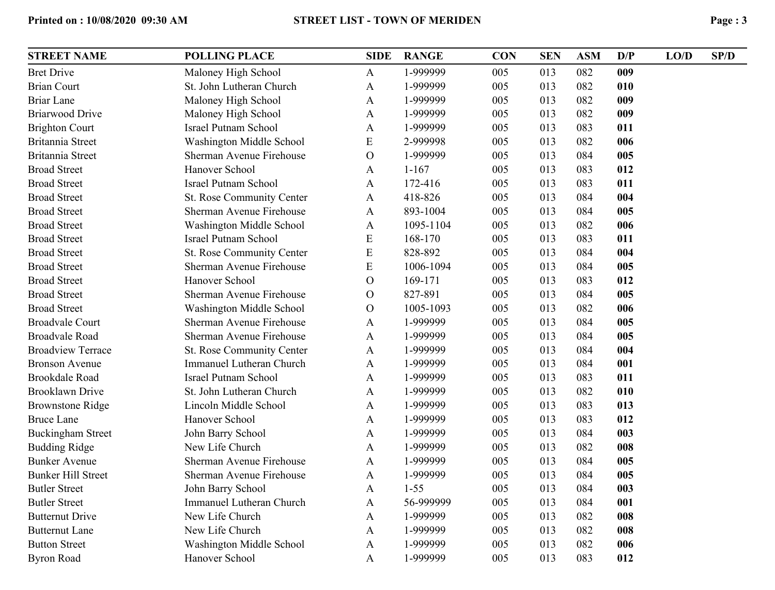| <b>STREET NAME</b>        | <b>POLLING PLACE</b>            | <b>SIDE</b>   | <b>RANGE</b> | <b>CON</b> | <b>SEN</b> | <b>ASM</b> | D/P | LO/D | SP/D |
|---------------------------|---------------------------------|---------------|--------------|------------|------------|------------|-----|------|------|
| <b>Bret Drive</b>         | Maloney High School             | $\mathbf{A}$  | 1-999999     | 005        | 013        | 082        | 009 |      |      |
| <b>Brian Court</b>        | St. John Lutheran Church        | A             | 1-999999     | 005        | 013        | 082        | 010 |      |      |
| <b>Briar Lane</b>         | Maloney High School             | A             | 1-999999     | 005        | 013        | 082        | 009 |      |      |
| <b>Briarwood Drive</b>    | Maloney High School             | A             | 1-999999     | 005        | 013        | 082        | 009 |      |      |
| <b>Brighton Court</b>     | Israel Putnam School            | A             | 1-999999     | 005        | 013        | 083        | 011 |      |      |
| Britannia Street          | Washington Middle School        | E             | 2-999998     | 005        | 013        | 082        | 006 |      |      |
| <b>Britannia Street</b>   | Sherman Avenue Firehouse        | $\mathbf{O}$  | 1-999999     | 005        | 013        | 084        | 005 |      |      |
| <b>Broad Street</b>       | Hanover School                  | A             | $1 - 167$    | 005        | 013        | 083        | 012 |      |      |
| <b>Broad Street</b>       | <b>Israel Putnam School</b>     | A             | 172-416      | 005        | 013        | 083        | 011 |      |      |
| <b>Broad Street</b>       | St. Rose Community Center       | A             | 418-826      | 005        | 013        | 084        | 004 |      |      |
| <b>Broad Street</b>       | Sherman Avenue Firehouse        | A             | 893-1004     | 005        | 013        | 084        | 005 |      |      |
| <b>Broad Street</b>       | Washington Middle School        | A             | 1095-1104    | 005        | 013        | 082        | 006 |      |      |
| <b>Broad Street</b>       | <b>Israel Putnam School</b>     | ${\bf E}$     | 168-170      | 005        | 013        | 083        | 011 |      |      |
| <b>Broad Street</b>       | St. Rose Community Center       | ${\bf E}$     | 828-892      | 005        | 013        | 084        | 004 |      |      |
| <b>Broad Street</b>       | Sherman Avenue Firehouse        | ${\bf E}$     | 1006-1094    | 005        | 013        | 084        | 005 |      |      |
| <b>Broad Street</b>       | Hanover School                  | $\mathbf{O}$  | 169-171      | 005        | 013        | 083        | 012 |      |      |
| <b>Broad Street</b>       | Sherman Avenue Firehouse        | $\mathcal{O}$ | 827-891      | 005        | 013        | 084        | 005 |      |      |
| <b>Broad Street</b>       | Washington Middle School        | $\mathbf O$   | 1005-1093    | 005        | 013        | 082        | 006 |      |      |
| <b>Broadvale Court</b>    | Sherman Avenue Firehouse        | A             | 1-999999     | 005        | 013        | 084        | 005 |      |      |
| <b>Broadvale Road</b>     | Sherman Avenue Firehouse        | A             | 1-999999     | 005        | 013        | 084        | 005 |      |      |
| <b>Broadview Terrace</b>  | St. Rose Community Center       | A             | 1-999999     | 005        | 013        | 084        | 004 |      |      |
| <b>Bronson Avenue</b>     | <b>Immanuel Lutheran Church</b> | A             | 1-999999     | 005        | 013        | 084        | 001 |      |      |
| <b>Brookdale Road</b>     | <b>Israel Putnam School</b>     | A             | 1-999999     | 005        | 013        | 083        | 011 |      |      |
| <b>Brooklawn Drive</b>    | St. John Lutheran Church        | A             | 1-999999     | 005        | 013        | 082        | 010 |      |      |
| <b>Brownstone Ridge</b>   | Lincoln Middle School           | A             | 1-999999     | 005        | 013        | 083        | 013 |      |      |
| <b>Bruce Lane</b>         | Hanover School                  | A             | 1-999999     | 005        | 013        | 083        | 012 |      |      |
| <b>Buckingham Street</b>  | John Barry School               | A             | 1-999999     | 005        | 013        | 084        | 003 |      |      |
| <b>Budding Ridge</b>      | New Life Church                 | A             | 1-999999     | 005        | 013        | 082        | 008 |      |      |
| <b>Bunker Avenue</b>      | Sherman Avenue Firehouse        | A             | 1-999999     | 005        | 013        | 084        | 005 |      |      |
| <b>Bunker Hill Street</b> | Sherman Avenue Firehouse        | A             | 1-999999     | 005        | 013        | 084        | 005 |      |      |
| <b>Butler Street</b>      | John Barry School               | A             | $1 - 55$     | 005        | 013        | 084        | 003 |      |      |
| <b>Butler Street</b>      | Immanuel Lutheran Church        | A             | 56-999999    | 005        | 013        | 084        | 001 |      |      |
| <b>Butternut Drive</b>    | New Life Church                 | A             | 1-999999     | 005        | 013        | 082        | 008 |      |      |
| <b>Butternut Lane</b>     | New Life Church                 | A             | 1-999999     | 005        | 013        | 082        | 008 |      |      |
| <b>Button Street</b>      | Washington Middle School        | $\mathbf{A}$  | 1-999999     | 005        | 013        | 082        | 006 |      |      |
| <b>Byron Road</b>         | Hanover School                  | A             | 1-999999     | 005        | 013        | 083        | 012 |      |      |
|                           |                                 |               |              |            |            |            |     |      |      |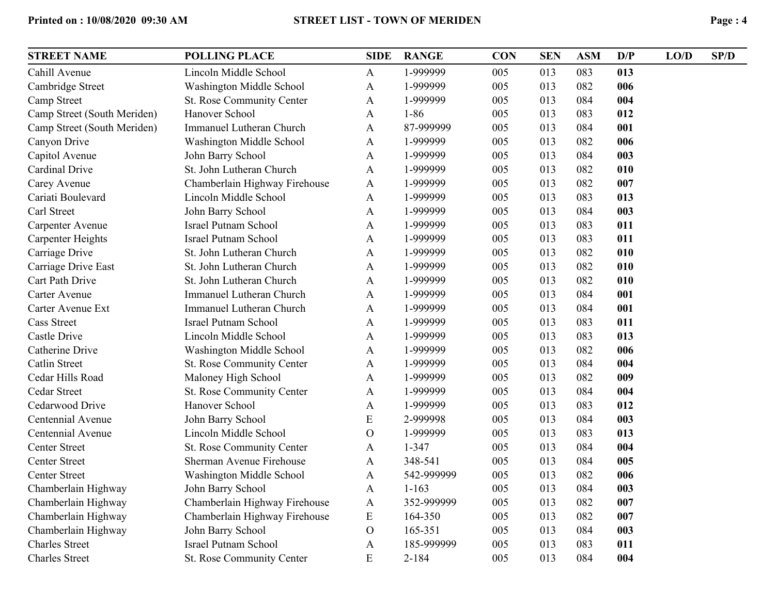| <b>STREET NAME</b>          | <b>POLLING PLACE</b>            | <b>SIDE</b>  | <b>RANGE</b> | <b>CON</b> | <b>SEN</b> | <b>ASM</b> | D/P | LO/D | SP/D |
|-----------------------------|---------------------------------|--------------|--------------|------------|------------|------------|-----|------|------|
| Cahill Avenue               | Lincoln Middle School           | $\mathbf{A}$ | 1-999999     | 005        | 013        | 083        | 013 |      |      |
| Cambridge Street            | Washington Middle School        | A            | 1-999999     | 005        | 013        | 082        | 006 |      |      |
| Camp Street                 | St. Rose Community Center       | A            | 1-999999     | 005        | 013        | 084        | 004 |      |      |
| Camp Street (South Meriden) | Hanover School                  | A            | $1 - 86$     | 005        | 013        | 083        | 012 |      |      |
| Camp Street (South Meriden) | <b>Immanuel Lutheran Church</b> | A            | 87-999999    | 005        | 013        | 084        | 001 |      |      |
| Canyon Drive                | Washington Middle School        | A            | 1-999999     | 005        | 013        | 082        | 006 |      |      |
| Capitol Avenue              | John Barry School               | A            | 1-999999     | 005        | 013        | 084        | 003 |      |      |
| <b>Cardinal Drive</b>       | St. John Lutheran Church        | $\mathbf{A}$ | 1-999999     | 005        | 013        | 082        | 010 |      |      |
| Carey Avenue                | Chamberlain Highway Firehouse   | A            | 1-999999     | 005        | 013        | 082        | 007 |      |      |
| Cariati Boulevard           | Lincoln Middle School           | A            | 1-999999     | 005        | 013        | 083        | 013 |      |      |
| Carl Street                 | John Barry School               | A            | 1-999999     | 005        | 013        | 084        | 003 |      |      |
| Carpenter Avenue            | <b>Israel Putnam School</b>     | A            | 1-999999     | 005        | 013        | 083        | 011 |      |      |
| <b>Carpenter Heights</b>    | <b>Israel Putnam School</b>     | A            | 1-999999     | 005        | 013        | 083        | 011 |      |      |
| Carriage Drive              | St. John Lutheran Church        | A            | 1-999999     | 005        | 013        | 082        | 010 |      |      |
| Carriage Drive East         | St. John Lutheran Church        | A            | 1-999999     | 005        | 013        | 082        | 010 |      |      |
| Cart Path Drive             | St. John Lutheran Church        | A            | 1-999999     | 005        | 013        | 082        | 010 |      |      |
| Carter Avenue               | Immanuel Lutheran Church        | A            | 1-999999     | 005        | 013        | 084        | 001 |      |      |
| Carter Avenue Ext           | Immanuel Lutheran Church        | A            | 1-999999     | 005        | 013        | 084        | 001 |      |      |
| <b>Cass Street</b>          | <b>Israel Putnam School</b>     | A            | 1-999999     | 005        | 013        | 083        | 011 |      |      |
| <b>Castle Drive</b>         | Lincoln Middle School           | A            | 1-999999     | 005        | 013        | 083        | 013 |      |      |
| <b>Catherine Drive</b>      | Washington Middle School        | A            | 1-999999     | 005        | 013        | 082        | 006 |      |      |
| <b>Catlin Street</b>        | St. Rose Community Center       | A            | 1-999999     | 005        | 013        | 084        | 004 |      |      |
| Cedar Hills Road            | Maloney High School             | A            | 1-999999     | 005        | 013        | 082        | 009 |      |      |
| Cedar Street                | St. Rose Community Center       | A            | 1-999999     | 005        | 013        | 084        | 004 |      |      |
| Cedarwood Drive             | Hanover School                  | A            | 1-999999     | 005        | 013        | 083        | 012 |      |      |
| Centennial Avenue           | John Barry School               | E            | 2-999998     | 005        | 013        | 084        | 003 |      |      |
| Centennial Avenue           | Lincoln Middle School           | $\mathbf{O}$ | 1-999999     | 005        | 013        | 083        | 013 |      |      |
| <b>Center Street</b>        | St. Rose Community Center       | A            | $1 - 347$    | 005        | 013        | 084        | 004 |      |      |
| <b>Center Street</b>        | Sherman Avenue Firehouse        | A            | 348-541      | 005        | 013        | 084        | 005 |      |      |
| <b>Center Street</b>        | Washington Middle School        | A            | 542-999999   | 005        | 013        | 082        | 006 |      |      |
| Chamberlain Highway         | John Barry School               | A            | $1 - 163$    | 005        | 013        | 084        | 003 |      |      |
| Chamberlain Highway         | Chamberlain Highway Firehouse   | A            | 352-999999   | 005        | 013        | 082        | 007 |      |      |
| Chamberlain Highway         | Chamberlain Highway Firehouse   | E            | 164-350      | 005        | 013        | 082        | 007 |      |      |
| Chamberlain Highway         | John Barry School               | $\mathbf{O}$ | 165-351      | 005        | 013        | 084        | 003 |      |      |
| <b>Charles Street</b>       | <b>Israel Putnam School</b>     | A            | 185-999999   | 005        | 013        | 083        | 011 |      |      |
| <b>Charles Street</b>       | St. Rose Community Center       | E            | $2 - 184$    | 005        | 013        | 084        | 004 |      |      |
|                             |                                 |              |              |            |            |            |     |      |      |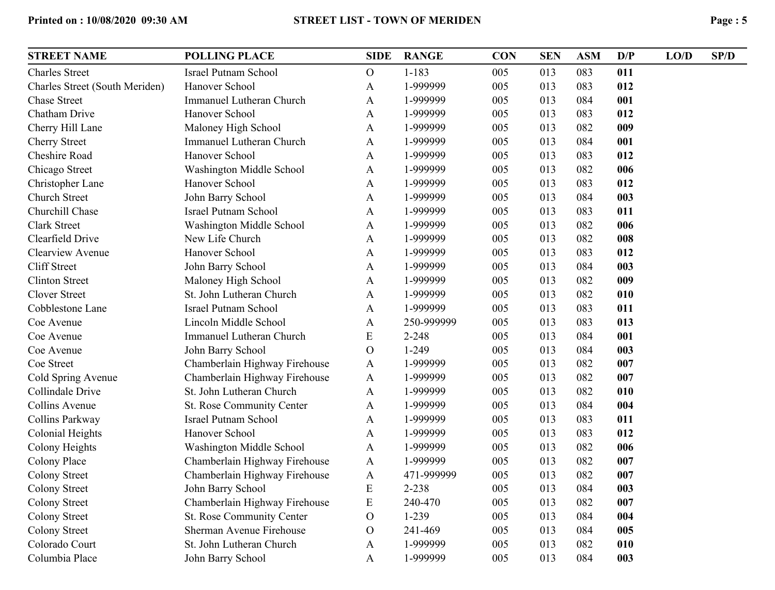| <b>STREET NAME</b>             | <b>POLLING PLACE</b>            | <b>SIDE</b>    | <b>RANGE</b> | <b>CON</b> | <b>SEN</b> | <b>ASM</b> | D/P | LO/D | SP/D |
|--------------------------------|---------------------------------|----------------|--------------|------------|------------|------------|-----|------|------|
| <b>Charles Street</b>          | <b>Israel Putnam School</b>     | $\overline{O}$ | $1 - 183$    | 005        | 013        | 083        | 011 |      |      |
| Charles Street (South Meriden) | Hanover School                  | A              | 1-999999     | 005        | 013        | 083        | 012 |      |      |
| <b>Chase Street</b>            | <b>Immanuel Lutheran Church</b> | A              | 1-999999     | 005        | 013        | 084        | 001 |      |      |
| Chatham Drive                  | Hanover School                  | A              | 1-999999     | 005        | 013        | 083        | 012 |      |      |
| Cherry Hill Lane               | Maloney High School             | $\mathbf{A}$   | 1-999999     | 005        | 013        | 082        | 009 |      |      |
| <b>Cherry Street</b>           | <b>Immanuel Lutheran Church</b> | A              | 1-999999     | 005        | 013        | 084        | 001 |      |      |
| Cheshire Road                  | Hanover School                  | A              | 1-999999     | 005        | 013        | 083        | 012 |      |      |
| Chicago Street                 | Washington Middle School        | A              | 1-999999     | 005        | 013        | 082        | 006 |      |      |
| Christopher Lane               | Hanover School                  | A              | 1-999999     | 005        | 013        | 083        | 012 |      |      |
| <b>Church Street</b>           | John Barry School               | A              | 1-999999     | 005        | 013        | 084        | 003 |      |      |
| Churchill Chase                | <b>Israel Putnam School</b>     | A              | 1-999999     | 005        | 013        | 083        | 011 |      |      |
| <b>Clark Street</b>            | Washington Middle School        | A              | 1-999999     | 005        | 013        | 082        | 006 |      |      |
| Clearfield Drive               | New Life Church                 | A              | 1-999999     | 005        | 013        | 082        | 008 |      |      |
| Clearview Avenue               | Hanover School                  | A              | 1-999999     | 005        | 013        | 083        | 012 |      |      |
| <b>Cliff Street</b>            | John Barry School               | A              | 1-999999     | 005        | 013        | 084        | 003 |      |      |
| <b>Clinton Street</b>          | Maloney High School             | A              | 1-999999     | 005        | 013        | 082        | 009 |      |      |
| <b>Clover Street</b>           | St. John Lutheran Church        | A              | 1-999999     | 005        | 013        | 082        | 010 |      |      |
| Cobblestone Lane               | <b>Israel Putnam School</b>     | A              | 1-999999     | 005        | 013        | 083        | 011 |      |      |
| Coe Avenue                     | Lincoln Middle School           | A              | 250-999999   | 005        | 013        | 083        | 013 |      |      |
| Coe Avenue                     | <b>Immanuel Lutheran Church</b> | E              | 2-248        | 005        | 013        | 084        | 001 |      |      |
| Coe Avenue                     | John Barry School               | $\overline{O}$ | $1 - 249$    | 005        | 013        | 084        | 003 |      |      |
| Coe Street                     | Chamberlain Highway Firehouse   | $\mathbf{A}$   | 1-999999     | 005        | 013        | 082        | 007 |      |      |
| Cold Spring Avenue             | Chamberlain Highway Firehouse   | $\mathbf{A}$   | 1-999999     | 005        | 013        | 082        | 007 |      |      |
| Collindale Drive               | St. John Lutheran Church        | A              | 1-999999     | 005        | 013        | 082        | 010 |      |      |
| Collins Avenue                 | St. Rose Community Center       | A              | 1-999999     | 005        | 013        | 084        | 004 |      |      |
| Collins Parkway                | <b>Israel Putnam School</b>     | A              | 1-999999     | 005        | 013        | 083        | 011 |      |      |
| Colonial Heights               | Hanover School                  | A              | 1-999999     | 005        | 013        | 083        | 012 |      |      |
| Colony Heights                 | Washington Middle School        | A              | 1-999999     | 005        | 013        | 082        | 006 |      |      |
| Colony Place                   | Chamberlain Highway Firehouse   | A              | 1-999999     | 005        | 013        | 082        | 007 |      |      |
| Colony Street                  | Chamberlain Highway Firehouse   | A              | 471-999999   | 005        | 013        | 082        | 007 |      |      |
| <b>Colony Street</b>           | John Barry School               | E              | 2-238        | 005        | 013        | 084        | 003 |      |      |
| <b>Colony Street</b>           | Chamberlain Highway Firehouse   | E              | 240-470      | 005        | 013        | 082        | 007 |      |      |
| <b>Colony Street</b>           | St. Rose Community Center       | $\mathcal{O}$  | $1 - 239$    | 005        | 013        | 084        | 004 |      |      |
| <b>Colony Street</b>           | Sherman Avenue Firehouse        | $\overline{O}$ | 241-469      | 005        | 013        | 084        | 005 |      |      |
| Colorado Court                 | St. John Lutheran Church        | A              | 1-999999     | 005        | 013        | 082        | 010 |      |      |
| Columbia Place                 | John Barry School               | $\mathbf{A}$   | 1-999999     | 005        | 013        | 084        | 003 |      |      |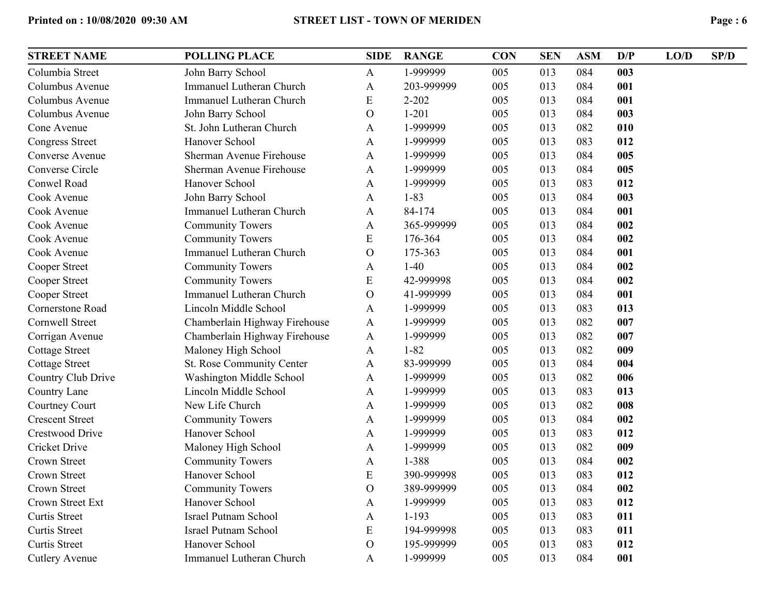| ιOι |  |  |
|-----|--|--|
|-----|--|--|

| <b>STREET NAME</b>     | <b>POLLING PLACE</b>            | <b>SIDE</b>   | <b>RANGE</b> | <b>CON</b> | <b>SEN</b> | <b>ASM</b> | D/P | LO/D | SP/D |
|------------------------|---------------------------------|---------------|--------------|------------|------------|------------|-----|------|------|
| Columbia Street        | John Barry School               | $\mathbf{A}$  | 1-999999     | 005        | 013        | 084        | 003 |      |      |
| Columbus Avenue        | <b>Immanuel Lutheran Church</b> | $\mathbf{A}$  | 203-999999   | 005        | 013        | 084        | 001 |      |      |
| Columbus Avenue        | Immanuel Lutheran Church        | E             | $2 - 202$    | 005        | 013        | 084        | 001 |      |      |
| Columbus Avenue        | John Barry School               | $\mathbf O$   | $1 - 201$    | 005        | 013        | 084        | 003 |      |      |
| Cone Avenue            | St. John Lutheran Church        | A             | 1-999999     | 005        | 013        | 082        | 010 |      |      |
| <b>Congress Street</b> | Hanover School                  | $\mathbf{A}$  | 1-999999     | 005        | 013        | 083        | 012 |      |      |
| Converse Avenue        | Sherman Avenue Firehouse        | $\mathbf{A}$  | 1-999999     | 005        | 013        | 084        | 005 |      |      |
| Converse Circle        | Sherman Avenue Firehouse        | $\mathbf{A}$  | 1-999999     | 005        | 013        | 084        | 005 |      |      |
| Conwel Road            | Hanover School                  | $\mathbf{A}$  | 1-999999     | 005        | 013        | 083        | 012 |      |      |
| Cook Avenue            | John Barry School               | $\mathbf{A}$  | $1 - 83$     | 005        | 013        | 084        | 003 |      |      |
| Cook Avenue            | Immanuel Lutheran Church        | $\mathbf{A}$  | 84-174       | 005        | 013        | 084        | 001 |      |      |
| Cook Avenue            | <b>Community Towers</b>         | A             | 365-999999   | 005        | 013        | 084        | 002 |      |      |
| Cook Avenue            | <b>Community Towers</b>         | E             | 176-364      | 005        | 013        | 084        | 002 |      |      |
| Cook Avenue            | <b>Immanuel Lutheran Church</b> | $\mathcal{O}$ | 175-363      | 005        | 013        | 084        | 001 |      |      |
| Cooper Street          | <b>Community Towers</b>         | $\mathbf{A}$  | $1-40$       | 005        | 013        | 084        | 002 |      |      |
| Cooper Street          | <b>Community Towers</b>         | E             | 42-999998    | 005        | 013        | 084        | 002 |      |      |
| Cooper Street          | Immanuel Lutheran Church        | $\mathcal{O}$ | 41-999999    | 005        | 013        | 084        | 001 |      |      |
| Cornerstone Road       | Lincoln Middle School           | $\mathbf{A}$  | 1-999999     | 005        | 013        | 083        | 013 |      |      |
| <b>Cornwell Street</b> | Chamberlain Highway Firehouse   | $\mathbf{A}$  | 1-999999     | 005        | 013        | 082        | 007 |      |      |
| Corrigan Avenue        | Chamberlain Highway Firehouse   | A             | 1-999999     | 005        | 013        | 082        | 007 |      |      |
| <b>Cottage Street</b>  | Maloney High School             | A             | $1 - 82$     | 005        | 013        | 082        | 009 |      |      |
| <b>Cottage Street</b>  | St. Rose Community Center       | $\mathbf{A}$  | 83-999999    | 005        | 013        | 084        | 004 |      |      |
| Country Club Drive     | Washington Middle School        | A             | 1-999999     | 005        | 013        | 082        | 006 |      |      |
| Country Lane           | Lincoln Middle School           | A             | 1-999999     | 005        | 013        | 083        | 013 |      |      |
| Courtney Court         | New Life Church                 | $\mathbf{A}$  | 1-999999     | 005        | 013        | 082        | 008 |      |      |
| <b>Crescent Street</b> | <b>Community Towers</b>         | $\mathbf{A}$  | 1-999999     | 005        | 013        | 084        | 002 |      |      |
| <b>Crestwood Drive</b> | Hanover School                  | $\mathbf{A}$  | 1-999999     | 005        | 013        | 083        | 012 |      |      |
| <b>Cricket Drive</b>   | Maloney High School             | $\mathbf{A}$  | 1-999999     | 005        | 013        | 082        | 009 |      |      |
| Crown Street           | <b>Community Towers</b>         | A             | 1-388        | 005        | 013        | 084        | 002 |      |      |
| Crown Street           | Hanover School                  | E             | 390-999998   | 005        | 013        | 083        | 012 |      |      |
| Crown Street           | <b>Community Towers</b>         | $\mathbf{O}$  | 389-999999   | 005        | 013        | 084        | 002 |      |      |
| Crown Street Ext       | Hanover School                  | A             | 1-999999     | 005        | 013        | 083        | 012 |      |      |
| <b>Curtis Street</b>   | <b>Israel Putnam School</b>     | A             | $1-193$      | 005        | 013        | 083        | 011 |      |      |
| <b>Curtis Street</b>   | <b>Israel Putnam School</b>     | E             | 194-999998   | 005        | 013        | 083        | 011 |      |      |
| <b>Curtis Street</b>   | Hanover School                  | $\mathbf{O}$  | 195-999999   | 005        | 013        | 083        | 012 |      |      |
| <b>Cutlery Avenue</b>  | <b>Immanuel Lutheran Church</b> | A             | 1-999999     | 005        | 013        | 084        | 001 |      |      |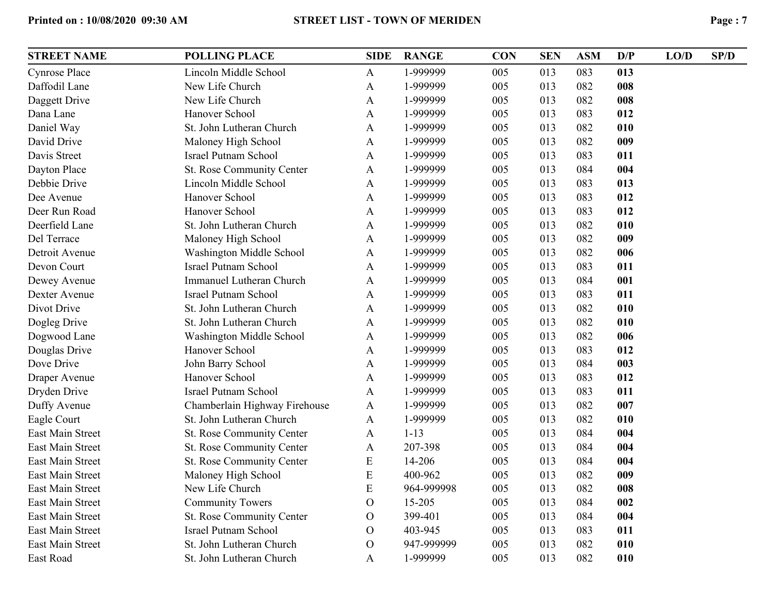| <b>STREET NAME</b>      | <b>POLLING PLACE</b>            | <b>SIDE</b>    | <b>RANGE</b> | <b>CON</b> | <b>SEN</b> | <b>ASM</b> | D/P | LO/D | SP/D |
|-------------------------|---------------------------------|----------------|--------------|------------|------------|------------|-----|------|------|
| <b>Cynrose Place</b>    | Lincoln Middle School           | $\mathbf{A}$   | 1-999999     | 005        | 013        | 083        | 013 |      |      |
| Daffodil Lane           | New Life Church                 | $\mathbf{A}$   | 1-999999     | 005        | 013        | 082        | 008 |      |      |
| Daggett Drive           | New Life Church                 | A              | 1-999999     | 005        | 013        | 082        | 008 |      |      |
| Dana Lane               | Hanover School                  | A              | 1-999999     | 005        | 013        | 083        | 012 |      |      |
| Daniel Way              | St. John Lutheran Church        | A              | 1-999999     | 005        | 013        | 082        | 010 |      |      |
| David Drive             | Maloney High School             | $\mathbf{A}$   | 1-999999     | 005        | 013        | 082        | 009 |      |      |
| Davis Street            | <b>Israel Putnam School</b>     | A              | 1-999999     | 005        | 013        | 083        | 011 |      |      |
| Dayton Place            | St. Rose Community Center       | $\mathbf{A}$   | 1-999999     | 005        | 013        | 084        | 004 |      |      |
| Debbie Drive            | Lincoln Middle School           | $\mathbf{A}$   | 1-999999     | 005        | 013        | 083        | 013 |      |      |
| Dee Avenue              | Hanover School                  | A              | 1-999999     | 005        | 013        | 083        | 012 |      |      |
| Deer Run Road           | Hanover School                  | A              | 1-999999     | 005        | 013        | 083        | 012 |      |      |
| Deerfield Lane          | St. John Lutheran Church        | A              | 1-999999     | 005        | 013        | 082        | 010 |      |      |
| Del Terrace             | Maloney High School             | A              | 1-999999     | 005        | 013        | 082        | 009 |      |      |
| Detroit Avenue          | Washington Middle School        | A              | 1-999999     | 005        | 013        | 082        | 006 |      |      |
| Devon Court             | <b>Israel Putnam School</b>     | A              | 1-999999     | 005        | 013        | 083        | 011 |      |      |
| Dewey Avenue            | <b>Immanuel Lutheran Church</b> | A              | 1-999999     | 005        | 013        | 084        | 001 |      |      |
| Dexter Avenue           | <b>Israel Putnam School</b>     | A              | 1-999999     | 005        | 013        | 083        | 011 |      |      |
| Divot Drive             | St. John Lutheran Church        | A              | 1-999999     | 005        | 013        | 082        | 010 |      |      |
| Dogleg Drive            | St. John Lutheran Church        | A              | 1-999999     | 005        | 013        | 082        | 010 |      |      |
| Dogwood Lane            | Washington Middle School        | A              | 1-999999     | 005        | 013        | 082        | 006 |      |      |
| Douglas Drive           | Hanover School                  | A              | 1-999999     | 005        | 013        | 083        | 012 |      |      |
| Dove Drive              | John Barry School               | A              | 1-999999     | 005        | 013        | 084        | 003 |      |      |
| Draper Avenue           | Hanover School                  | A              | 1-999999     | 005        | 013        | 083        | 012 |      |      |
| Dryden Drive            | <b>Israel Putnam School</b>     | A              | 1-999999     | 005        | 013        | 083        | 011 |      |      |
| Duffy Avenue            | Chamberlain Highway Firehouse   | $\mathbf{A}$   | 1-999999     | 005        | 013        | 082        | 007 |      |      |
| Eagle Court             | St. John Lutheran Church        | $\mathbf{A}$   | 1-999999     | 005        | 013        | 082        | 010 |      |      |
| East Main Street        | St. Rose Community Center       | $\mathbf{A}$   | $1 - 13$     | 005        | 013        | 084        | 004 |      |      |
| East Main Street        | St. Rose Community Center       | A              | 207-398      | 005        | 013        | 084        | 004 |      |      |
| East Main Street        | St. Rose Community Center       | ${\bf E}$      | 14-206       | 005        | 013        | 084        | 004 |      |      |
| East Main Street        | Maloney High School             | E              | 400-962      | 005        | 013        | 082        | 009 |      |      |
| East Main Street        | New Life Church                 | E              | 964-999998   | 005        | 013        | 082        | 008 |      |      |
| East Main Street        | <b>Community Towers</b>         | $\overline{O}$ | 15-205       | 005        | 013        | 084        | 002 |      |      |
| East Main Street        | St. Rose Community Center       | $\mathbf{O}$   | 399-401      | 005        | 013        | 084        | 004 |      |      |
| East Main Street        | <b>Israel Putnam School</b>     | $\mathcal{O}$  | 403-945      | 005        | 013        | 083        | 011 |      |      |
| <b>East Main Street</b> | St. John Lutheran Church        | $\mathcal{O}$  | 947-999999   | 005        | 013        | 082        | 010 |      |      |
| East Road               | St. John Lutheran Church        | A              | 1-999999     | 005        | 013        | 082        | 010 |      |      |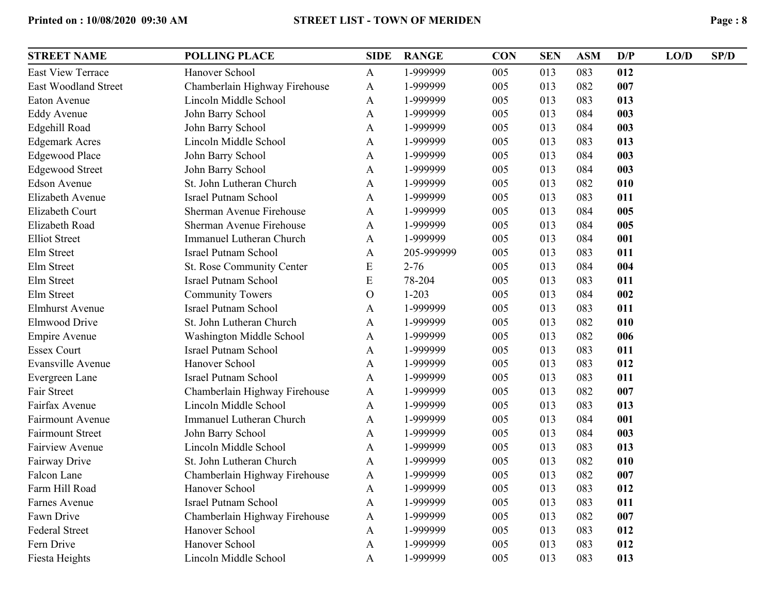| <b>STREET NAME</b>          | <b>POLLING PLACE</b>            | <b>SIDE</b>      | <b>RANGE</b> | <b>CON</b> | <b>SEN</b> | <b>ASM</b> | D/P | LO/D | SP/D |
|-----------------------------|---------------------------------|------------------|--------------|------------|------------|------------|-----|------|------|
| East View Terrace           | Hanover School                  | A                | 1-999999     | 005        | 013        | 083        | 012 |      |      |
| <b>East Woodland Street</b> | Chamberlain Highway Firehouse   | A                | 1-999999     | 005        | 013        | 082        | 007 |      |      |
| Eaton Avenue                | Lincoln Middle School           | A                | 1-999999     | 005        | 013        | 083        | 013 |      |      |
| <b>Eddy Avenue</b>          | John Barry School               | A                | 1-999999     | 005        | 013        | 084        | 003 |      |      |
| Edgehill Road               | John Barry School               | A                | 1-999999     | 005        | 013        | 084        | 003 |      |      |
| <b>Edgemark Acres</b>       | Lincoln Middle School           | A                | 1-999999     | 005        | 013        | 083        | 013 |      |      |
| <b>Edgewood Place</b>       | John Barry School               | A                | 1-999999     | 005        | 013        | 084        | 003 |      |      |
| <b>Edgewood Street</b>      | John Barry School               | A                | 1-999999     | 005        | 013        | 084        | 003 |      |      |
| <b>Edson Avenue</b>         | St. John Lutheran Church        | A                | 1-999999     | 005        | 013        | 082        | 010 |      |      |
| Elizabeth Avenue            | <b>Israel Putnam School</b>     | A                | 1-999999     | 005        | 013        | 083        | 011 |      |      |
| Elizabeth Court             | Sherman Avenue Firehouse        | A                | 1-999999     | 005        | 013        | 084        | 005 |      |      |
| Elizabeth Road              | Sherman Avenue Firehouse        | A                | 1-999999     | 005        | 013        | 084        | 005 |      |      |
| <b>Elliot Street</b>        | <b>Immanuel Lutheran Church</b> | A                | 1-999999     | 005        | 013        | 084        | 001 |      |      |
| Elm Street                  | <b>Israel Putnam School</b>     | A                | 205-999999   | 005        | 013        | 083        | 011 |      |      |
| Elm Street                  | St. Rose Community Center       | E                | $2 - 76$     | 005        | 013        | 084        | 004 |      |      |
| Elm Street                  | <b>Israel Putnam School</b>     | E                | 78-204       | 005        | 013        | 083        | 011 |      |      |
| Elm Street                  | <b>Community Towers</b>         | $\mathbf{O}$     | $1 - 203$    | 005        | 013        | 084        | 002 |      |      |
| <b>Elmhurst Avenue</b>      | <b>Israel Putnam School</b>     | A                | 1-999999     | 005        | 013        | 083        | 011 |      |      |
| <b>Elmwood Drive</b>        | St. John Lutheran Church        | A                | 1-999999     | 005        | 013        | 082        | 010 |      |      |
| <b>Empire Avenue</b>        | <b>Washington Middle School</b> | A                | 1-999999     | 005        | 013        | 082        | 006 |      |      |
| <b>Essex Court</b>          | <b>Israel Putnam School</b>     | A                | 1-999999     | 005        | 013        | 083        | 011 |      |      |
| Evansville Avenue           | Hanover School                  | A                | 1-999999     | 005        | 013        | 083        | 012 |      |      |
| Evergreen Lane              | <b>Israel Putnam School</b>     | A                | 1-999999     | 005        | 013        | 083        | 011 |      |      |
| Fair Street                 | Chamberlain Highway Firehouse   | A                | 1-999999     | 005        | 013        | 082        | 007 |      |      |
| Fairfax Avenue              | Lincoln Middle School           | A                | 1-999999     | 005        | 013        | 083        | 013 |      |      |
| <b>Fairmount Avenue</b>     | <b>Immanuel Lutheran Church</b> | A                | 1-999999     | 005        | 013        | 084        | 001 |      |      |
| <b>Fairmount Street</b>     | John Barry School               | A                | 1-999999     | 005        | 013        | 084        | 003 |      |      |
| <b>Fairview Avenue</b>      | Lincoln Middle School           | A                | 1-999999     | 005        | 013        | 083        | 013 |      |      |
| Fairway Drive               | St. John Lutheran Church        | A                | 1-999999     | 005        | 013        | 082        | 010 |      |      |
| Falcon Lane                 | Chamberlain Highway Firehouse   | A                | 1-999999     | 005        | 013        | 082        | 007 |      |      |
| Farm Hill Road              | Hanover School                  | A                | 1-999999     | 005        | 013        | 083        | 012 |      |      |
| <b>Farnes Avenue</b>        | <b>Israel Putnam School</b>     | A                | 1-999999     | 005        | 013        | 083        | 011 |      |      |
| Fawn Drive                  | Chamberlain Highway Firehouse   | $\boldsymbol{A}$ | 1-999999     | 005        | 013        | 082        | 007 |      |      |
| <b>Federal Street</b>       | Hanover School                  | A                | 1-999999     | 005        | 013        | 083        | 012 |      |      |
| Fern Drive                  | Hanover School                  | $\mathbf{A}$     | 1-999999     | 005        | 013        | 083        | 012 |      |      |
| Fiesta Heights              | Lincoln Middle School           | A                | 1-999999     | 005        | 013        | 083        | 013 |      |      |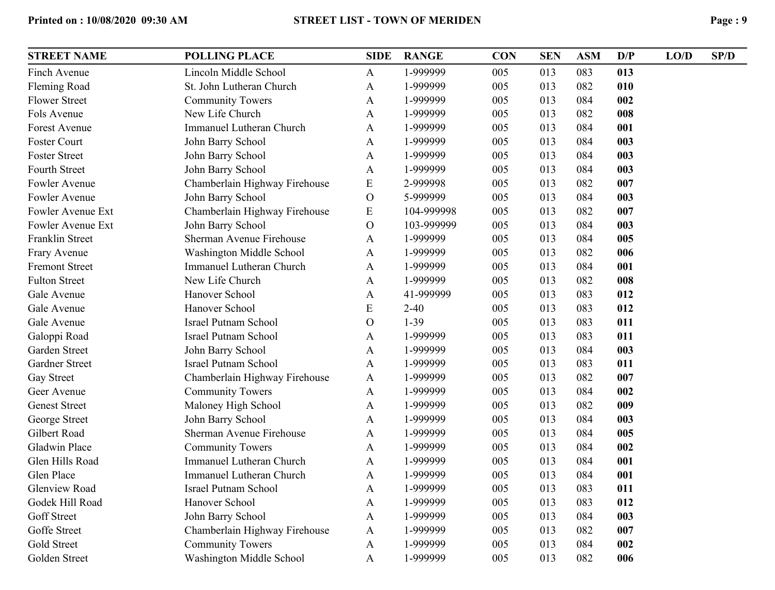| <b>STREET NAME</b>    | <b>POLLING PLACE</b>            | <b>SIDE</b>  | <b>RANGE</b> | <b>CON</b> | <b>SEN</b> | <b>ASM</b> | D/P | LO/D | SP/D |
|-----------------------|---------------------------------|--------------|--------------|------------|------------|------------|-----|------|------|
| Finch Avenue          | Lincoln Middle School           | $\mathbf{A}$ | 1-999999     | 005        | 013        | 083        | 013 |      |      |
| Fleming Road          | St. John Lutheran Church        | A            | 1-999999     | 005        | 013        | 082        | 010 |      |      |
| <b>Flower Street</b>  | <b>Community Towers</b>         | A            | 1-999999     | 005        | 013        | 084        | 002 |      |      |
| Fols Avenue           | New Life Church                 | A            | 1-999999     | 005        | 013        | 082        | 008 |      |      |
| Forest Avenue         | <b>Immanuel Lutheran Church</b> | A            | 1-999999     | 005        | 013        | 084        | 001 |      |      |
| <b>Foster Court</b>   | John Barry School               | A            | 1-999999     | 005        | 013        | 084        | 003 |      |      |
| <b>Foster Street</b>  | John Barry School               | A            | 1-999999     | 005        | 013        | 084        | 003 |      |      |
| <b>Fourth Street</b>  | John Barry School               | A            | 1-999999     | 005        | 013        | 084        | 003 |      |      |
| Fowler Avenue         | Chamberlain Highway Firehouse   | E            | 2-999998     | 005        | 013        | 082        | 007 |      |      |
| Fowler Avenue         | John Barry School               | $\mathbf O$  | 5-999999     | 005        | 013        | 084        | 003 |      |      |
| Fowler Avenue Ext     | Chamberlain Highway Firehouse   | E            | 104-999998   | 005        | 013        | 082        | 007 |      |      |
| Fowler Avenue Ext     | John Barry School               | $\mathbf{O}$ | 103-999999   | 005        | 013        | 084        | 003 |      |      |
| Franklin Street       | Sherman Avenue Firehouse        | A            | 1-999999     | 005        | 013        | 084        | 005 |      |      |
| Frary Avenue          | Washington Middle School        | A            | 1-999999     | 005        | 013        | 082        | 006 |      |      |
| <b>Fremont Street</b> | <b>Immanuel Lutheran Church</b> | A            | 1-999999     | 005        | 013        | 084        | 001 |      |      |
| <b>Fulton Street</b>  | New Life Church                 | A            | 1-999999     | 005        | 013        | 082        | 008 |      |      |
| Gale Avenue           | Hanover School                  | A            | 41-999999    | 005        | 013        | 083        | 012 |      |      |
| Gale Avenue           | Hanover School                  | E            | $2 - 40$     | 005        | 013        | 083        | 012 |      |      |
| Gale Avenue           | <b>Israel Putnam School</b>     | $\mathbf O$  | $1 - 39$     | 005        | 013        | 083        | 011 |      |      |
| Galoppi Road          | <b>Israel Putnam School</b>     | A            | 1-999999     | 005        | 013        | 083        | 011 |      |      |
| Garden Street         | John Barry School               | A            | 1-999999     | 005        | 013        | 084        | 003 |      |      |
| <b>Gardner Street</b> | <b>Israel Putnam School</b>     | A            | 1-999999     | 005        | 013        | 083        | 011 |      |      |
| Gay Street            | Chamberlain Highway Firehouse   | A            | 1-999999     | 005        | 013        | 082        | 007 |      |      |
| Geer Avenue           | <b>Community Towers</b>         | A            | 1-999999     | 005        | 013        | 084        | 002 |      |      |
| <b>Genest Street</b>  | Maloney High School             | A            | 1-999999     | 005        | 013        | 082        | 009 |      |      |
| George Street         | John Barry School               | A            | 1-999999     | 005        | 013        | 084        | 003 |      |      |
| Gilbert Road          | Sherman Avenue Firehouse        | A            | 1-999999     | 005        | 013        | 084        | 005 |      |      |
| <b>Gladwin Place</b>  | <b>Community Towers</b>         | A            | 1-999999     | 005        | 013        | 084        | 002 |      |      |
| Glen Hills Road       | <b>Immanuel Lutheran Church</b> | A            | 1-999999     | 005        | 013        | 084        | 001 |      |      |
| Glen Place            | <b>Immanuel Lutheran Church</b> | A            | 1-999999     | 005        | 013        | 084        | 001 |      |      |
| <b>Glenview Road</b>  | <b>Israel Putnam School</b>     | A            | 1-999999     | 005        | 013        | 083        | 011 |      |      |
| Godek Hill Road       | Hanover School                  | A            | 1-999999     | 005        | 013        | 083        | 012 |      |      |
| <b>Goff Street</b>    | John Barry School               | A            | 1-999999     | 005        | 013        | 084        | 003 |      |      |
| Goffe Street          | Chamberlain Highway Firehouse   | A            | 1-999999     | 005        | 013        | 082        | 007 |      |      |
| Gold Street           | <b>Community Towers</b>         | A            | 1-999999     | 005        | 013        | 084        | 002 |      |      |
| Golden Street         | Washington Middle School        | A            | 1-999999     | 005        | 013        | 082        | 006 |      |      |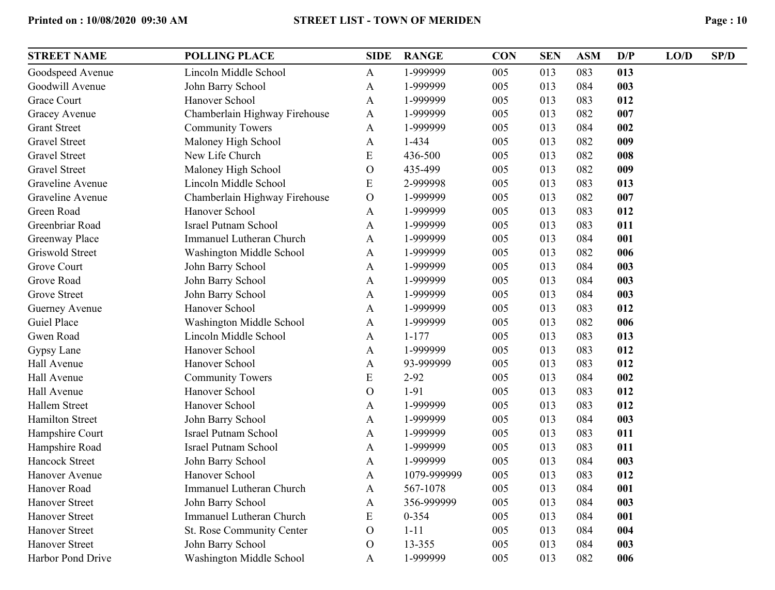| <b>STREET NAME</b>    | <b>POLLING PLACE</b>            | <b>SIDE</b>    | <b>RANGE</b> | <b>CON</b> | <b>SEN</b> | <b>ASM</b> | D/P | LO/D | SP/D |
|-----------------------|---------------------------------|----------------|--------------|------------|------------|------------|-----|------|------|
| Goodspeed Avenue      | Lincoln Middle School           | $\mathbf{A}$   | 1-999999     | 005        | 013        | 083        | 013 |      |      |
| Goodwill Avenue       | John Barry School               | A              | 1-999999     | 005        | 013        | 084        | 003 |      |      |
| <b>Grace Court</b>    | Hanover School                  | A              | 1-999999     | 005        | 013        | 083        | 012 |      |      |
| Gracey Avenue         | Chamberlain Highway Firehouse   | A              | 1-999999     | 005        | 013        | 082        | 007 |      |      |
| <b>Grant Street</b>   | <b>Community Towers</b>         | A              | 1-999999     | 005        | 013        | 084        | 002 |      |      |
| <b>Gravel Street</b>  | Maloney High School             | A              | $1 - 434$    | 005        | 013        | 082        | 009 |      |      |
| <b>Gravel Street</b>  | New Life Church                 | E              | 436-500      | 005        | 013        | 082        | 008 |      |      |
| <b>Gravel Street</b>  | Maloney High School             | $\mathcal{O}$  | 435-499      | 005        | 013        | 082        | 009 |      |      |
| Graveline Avenue      | Lincoln Middle School           | ${\bf E}$      | 2-999998     | 005        | 013        | 083        | 013 |      |      |
| Graveline Avenue      | Chamberlain Highway Firehouse   | $\overline{O}$ | 1-999999     | 005        | 013        | 082        | 007 |      |      |
| Green Road            | Hanover School                  | A              | 1-999999     | 005        | 013        | 083        | 012 |      |      |
| Greenbriar Road       | <b>Israel Putnam School</b>     | A              | 1-999999     | 005        | 013        | 083        | 011 |      |      |
| Greenway Place        | <b>Immanuel Lutheran Church</b> | A              | 1-999999     | 005        | 013        | 084        | 001 |      |      |
| Griswold Street       | Washington Middle School        | A              | 1-999999     | 005        | 013        | 082        | 006 |      |      |
| Grove Court           | John Barry School               | A              | 1-999999     | 005        | 013        | 084        | 003 |      |      |
| Grove Road            | John Barry School               | A              | 1-999999     | 005        | 013        | 084        | 003 |      |      |
| Grove Street          | John Barry School               | A              | 1-999999     | 005        | 013        | 084        | 003 |      |      |
| Guerney Avenue        | Hanover School                  | A              | 1-999999     | 005        | 013        | 083        | 012 |      |      |
| Guiel Place           | Washington Middle School        | A              | 1-999999     | 005        | 013        | 082        | 006 |      |      |
| Gwen Road             | Lincoln Middle School           | A              | $1 - 177$    | 005        | 013        | 083        | 013 |      |      |
| Gypsy Lane            | Hanover School                  | A              | 1-999999     | 005        | 013        | 083        | 012 |      |      |
| Hall Avenue           | Hanover School                  | $\mathbf{A}$   | 93-999999    | 005        | 013        | 083        | 012 |      |      |
| Hall Avenue           | <b>Community Towers</b>         | E              | $2 - 92$     | 005        | 013        | 084        | 002 |      |      |
| Hall Avenue           | Hanover School                  | $\overline{O}$ | $1-91$       | 005        | 013        | 083        | 012 |      |      |
| Hallem Street         | Hanover School                  | $\mathbf{A}$   | 1-999999     | 005        | 013        | 083        | 012 |      |      |
| Hamilton Street       | John Barry School               | A              | 1-999999     | 005        | 013        | 084        | 003 |      |      |
| Hampshire Court       | <b>Israel Putnam School</b>     | $\mathbf{A}$   | 1-999999     | 005        | 013        | 083        | 011 |      |      |
| Hampshire Road        | <b>Israel Putnam School</b>     | A              | 1-999999     | 005        | 013        | 083        | 011 |      |      |
| Hancock Street        | John Barry School               | $\mathbf{A}$   | 1-999999     | 005        | 013        | 084        | 003 |      |      |
| Hanover Avenue        | Hanover School                  | $\mathbf{A}$   | 1079-999999  | 005        | 013        | 083        | 012 |      |      |
| Hanover Road          | <b>Immanuel Lutheran Church</b> | $\mathbf{A}$   | 567-1078     | 005        | 013        | 084        | 001 |      |      |
| <b>Hanover Street</b> | John Barry School               | $\mathbf{A}$   | 356-999999   | 005        | 013        | 084        | 003 |      |      |
| <b>Hanover Street</b> | Immanuel Lutheran Church        | ${\bf E}$      | 0-354        | 005        | 013        | 084        | 001 |      |      |
| Hanover Street        | St. Rose Community Center       | $\overline{O}$ | $1 - 11$     | 005        | 013        | 084        | 004 |      |      |
| <b>Hanover Street</b> | John Barry School               | $\overline{O}$ | 13-355       | 005        | 013        | 084        | 003 |      |      |
| Harbor Pond Drive     | Washington Middle School        | $\mathbf{A}$   | 1-999999     | 005        | 013        | 082        | 006 |      |      |
|                       |                                 |                |              |            |            |            |     |      |      |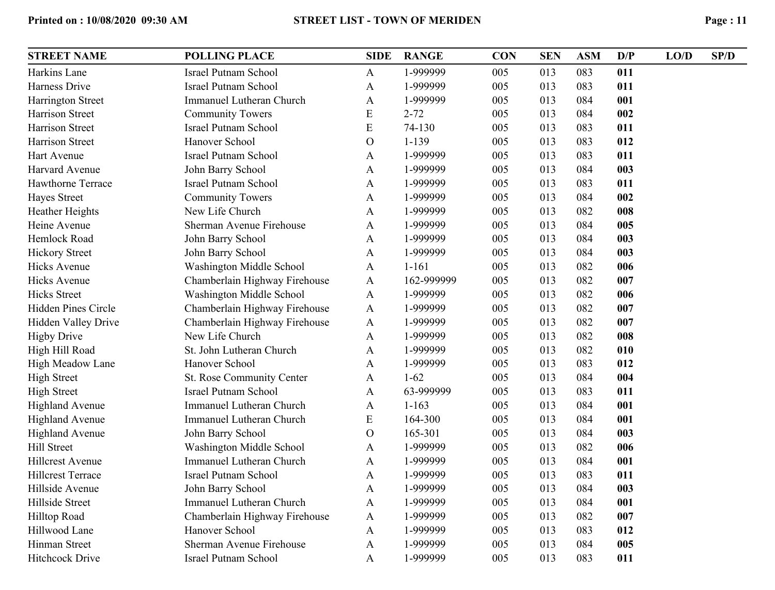| <b>STREET NAME</b>         | <b>POLLING PLACE</b>            | <b>SIDE</b>    | <b>RANGE</b> | <b>CON</b> | <b>SEN</b> | <b>ASM</b> | D/P | LO/D | SP/D |
|----------------------------|---------------------------------|----------------|--------------|------------|------------|------------|-----|------|------|
| Harkins Lane               | <b>Israel Putnam School</b>     | $\mathbf{A}$   | 1-999999     | 005        | 013        | 083        | 011 |      |      |
| Harness Drive              | <b>Israel Putnam School</b>     | $\mathbf{A}$   | 1-999999     | 005        | 013        | 083        | 011 |      |      |
| Harrington Street          | <b>Immanuel Lutheran Church</b> | $\mathbf{A}$   | 1-999999     | 005        | 013        | 084        | 001 |      |      |
| Harrison Street            | <b>Community Towers</b>         | E              | $2 - 72$     | 005        | 013        | 084        | 002 |      |      |
| Harrison Street            | <b>Israel Putnam School</b>     | E              | 74-130       | 005        | 013        | 083        | 011 |      |      |
| Harrison Street            | Hanover School                  | $\overline{O}$ | $1 - 139$    | 005        | 013        | 083        | 012 |      |      |
| Hart Avenue                | <b>Israel Putnam School</b>     | A              | 1-999999     | 005        | 013        | 083        | 011 |      |      |
| Harvard Avenue             | John Barry School               | $\mathbf{A}$   | 1-999999     | 005        | 013        | 084        | 003 |      |      |
| Hawthorne Terrace          | <b>Israel Putnam School</b>     | $\mathbf{A}$   | 1-999999     | 005        | 013        | 083        | 011 |      |      |
| Hayes Street               | <b>Community Towers</b>         | A              | 1-999999     | 005        | 013        | 084        | 002 |      |      |
| Heather Heights            | New Life Church                 | $\mathbf{A}$   | 1-999999     | 005        | 013        | 082        | 008 |      |      |
| Heine Avenue               | Sherman Avenue Firehouse        | $\mathbf{A}$   | 1-999999     | 005        | 013        | 084        | 005 |      |      |
| Hemlock Road               | John Barry School               | A              | 1-999999     | 005        | 013        | 084        | 003 |      |      |
| <b>Hickory Street</b>      | John Barry School               | $\mathbf{A}$   | 1-999999     | 005        | 013        | 084        | 003 |      |      |
| <b>Hicks Avenue</b>        | Washington Middle School        | $\mathbf{A}$   | $1 - 161$    | 005        | 013        | 082        | 006 |      |      |
| <b>Hicks Avenue</b>        | Chamberlain Highway Firehouse   | $\mathbf{A}$   | 162-999999   | 005        | 013        | 082        | 007 |      |      |
| <b>Hicks Street</b>        | Washington Middle School        | $\mathbf{A}$   | 1-999999     | 005        | 013        | 082        | 006 |      |      |
| <b>Hidden Pines Circle</b> | Chamberlain Highway Firehouse   | $\mathbf{A}$   | 1-999999     | 005        | 013        | 082        | 007 |      |      |
| Hidden Valley Drive        | Chamberlain Highway Firehouse   | $\mathbf{A}$   | 1-999999     | 005        | 013        | 082        | 007 |      |      |
| <b>Higby Drive</b>         | New Life Church                 | $\mathbf{A}$   | 1-999999     | 005        | 013        | 082        | 008 |      |      |
| High Hill Road             | St. John Lutheran Church        | $\mathbf{A}$   | 1-999999     | 005        | 013        | 082        | 010 |      |      |
| High Meadow Lane           | Hanover School                  | A              | 1-999999     | 005        | 013        | 083        | 012 |      |      |
| <b>High Street</b>         | St. Rose Community Center       | $\mathbf{A}$   | $1 - 62$     | 005        | 013        | 084        | 004 |      |      |
| <b>High Street</b>         | <b>Israel Putnam School</b>     | $\mathbf{A}$   | 63-999999    | 005        | 013        | 083        | 011 |      |      |
| <b>Highland Avenue</b>     | Immanuel Lutheran Church        | A              | $1 - 163$    | 005        | 013        | 084        | 001 |      |      |
| <b>Highland Avenue</b>     | Immanuel Lutheran Church        | ${\bf E}$      | 164-300      | 005        | 013        | 084        | 001 |      |      |
| <b>Highland Avenue</b>     | John Barry School               | $\mathcal{O}$  | 165-301      | 005        | 013        | 084        | 003 |      |      |
| <b>Hill Street</b>         | Washington Middle School        | A              | 1-999999     | 005        | 013        | 082        | 006 |      |      |
| <b>Hillcrest Avenue</b>    | Immanuel Lutheran Church        | $\mathbf{A}$   | 1-999999     | 005        | 013        | 084        | 001 |      |      |
| <b>Hillcrest Terrace</b>   | Israel Putnam School            | $\mathbf{A}$   | 1-999999     | 005        | 013        | 083        | 011 |      |      |
| Hillside Avenue            | John Barry School               | A              | 1-999999     | 005        | 013        | 084        | 003 |      |      |
| Hillside Street            | <b>Immanuel Lutheran Church</b> | $\mathbf{A}$   | 1-999999     | 005        | 013        | 084        | 001 |      |      |
| Hilltop Road               | Chamberlain Highway Firehouse   | $\mathbf{A}$   | 1-999999     | 005        | 013        | 082        | 007 |      |      |
| Hillwood Lane              | Hanover School                  | A              | 1-999999     | 005        | 013        | 083        | 012 |      |      |
| Hinman Street              | Sherman Avenue Firehouse        | $\mathbf{A}$   | 1-999999     | 005        | 013        | 084        | 005 |      |      |
| <b>Hitchcock Drive</b>     | <b>Israel Putnam School</b>     | A              | 1-999999     | 005        | 013        | 083        | 011 |      |      |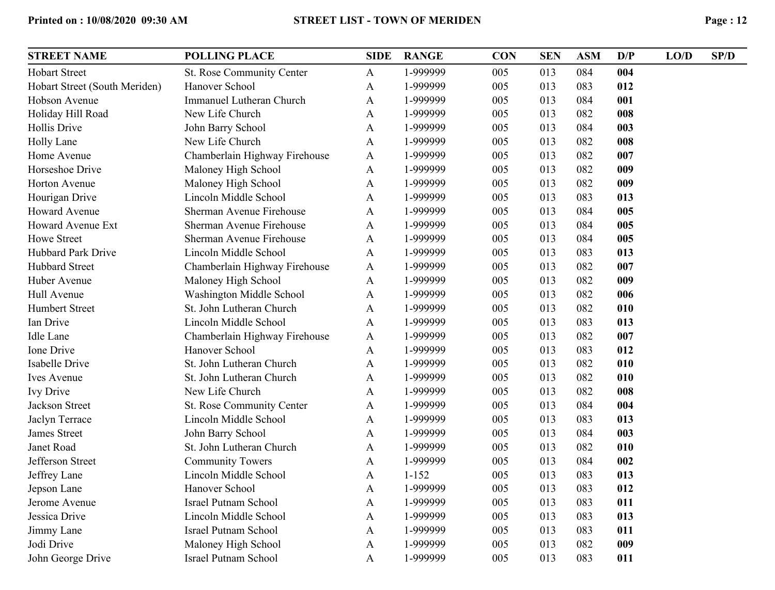| <b>STREET NAME</b>            | <b>POLLING PLACE</b>            | <b>SIDE</b>  | <b>RANGE</b> | <b>CON</b> | <b>SEN</b> | <b>ASM</b> | D/P | LO/D | SP/D |
|-------------------------------|---------------------------------|--------------|--------------|------------|------------|------------|-----|------|------|
| <b>Hobart Street</b>          | St. Rose Community Center       | A            | 1-999999     | 005        | 013        | 084        | 004 |      |      |
| Hobart Street (South Meriden) | Hanover School                  | $\mathbf{A}$ | 1-999999     | 005        | 013        | 083        | 012 |      |      |
| Hobson Avenue                 | <b>Immanuel Lutheran Church</b> | $\mathbf{A}$ | 1-999999     | 005        | 013        | 084        | 001 |      |      |
| Holiday Hill Road             | New Life Church                 | A            | 1-999999     | 005        | 013        | 082        | 008 |      |      |
| Hollis Drive                  | John Barry School               | A            | 1-999999     | 005        | 013        | 084        | 003 |      |      |
| Holly Lane                    | New Life Church                 | $\mathbf{A}$ | 1-999999     | 005        | 013        | 082        | 008 |      |      |
| Home Avenue                   | Chamberlain Highway Firehouse   | $\mathbf{A}$ | 1-999999     | 005        | 013        | 082        | 007 |      |      |
| Horseshoe Drive               | Maloney High School             | A            | 1-999999     | 005        | 013        | 082        | 009 |      |      |
| Horton Avenue                 | Maloney High School             | A            | 1-999999     | 005        | 013        | 082        | 009 |      |      |
| Hourigan Drive                | Lincoln Middle School           | $\mathbf{A}$ | 1-999999     | 005        | 013        | 083        | 013 |      |      |
| Howard Avenue                 | Sherman Avenue Firehouse        | $\mathbf{A}$ | 1-999999     | 005        | 013        | 084        | 005 |      |      |
| Howard Avenue Ext             | Sherman Avenue Firehouse        | A            | 1-999999     | 005        | 013        | 084        | 005 |      |      |
| <b>Howe Street</b>            | Sherman Avenue Firehouse        | $\mathbf{A}$ | 1-999999     | 005        | 013        | 084        | 005 |      |      |
| <b>Hubbard Park Drive</b>     | Lincoln Middle School           | $\mathbf{A}$ | 1-999999     | 005        | 013        | 083        | 013 |      |      |
| Hubbard Street                | Chamberlain Highway Firehouse   | A            | 1-999999     | 005        | 013        | 082        | 007 |      |      |
| Huber Avenue                  | Maloney High School             | $\mathbf{A}$ | 1-999999     | 005        | 013        | 082        | 009 |      |      |
| Hull Avenue                   | Washington Middle School        | $\mathbf{A}$ | 1-999999     | 005        | 013        | 082        | 006 |      |      |
| <b>Humbert Street</b>         | St. John Lutheran Church        | A            | 1-999999     | 005        | 013        | 082        | 010 |      |      |
| Ian Drive                     | Lincoln Middle School           | $\mathbf{A}$ | 1-999999     | 005        | 013        | 083        | 013 |      |      |
| <b>Idle Lane</b>              | Chamberlain Highway Firehouse   | $\mathbf{A}$ | 1-999999     | 005        | 013        | 082        | 007 |      |      |
| <b>Ione Drive</b>             | Hanover School                  | $\mathbf{A}$ | 1-999999     | 005        | 013        | 083        | 012 |      |      |
| <b>Isabelle Drive</b>         | St. John Lutheran Church        | $\mathbf{A}$ | 1-999999     | 005        | 013        | 082        | 010 |      |      |
| Ives Avenue                   | St. John Lutheran Church        | $\mathbf{A}$ | 1-999999     | 005        | 013        | 082        | 010 |      |      |
| <b>Ivy Drive</b>              | New Life Church                 | $\mathbf{A}$ | 1-999999     | 005        | 013        | 082        | 008 |      |      |
| <b>Jackson Street</b>         | St. Rose Community Center       | A            | 1-999999     | 005        | 013        | 084        | 004 |      |      |
| Jaclyn Terrace                | Lincoln Middle School           | $\mathbf{A}$ | 1-999999     | 005        | 013        | 083        | 013 |      |      |
| <b>James Street</b>           | John Barry School               | $\mathbf{A}$ | 1-999999     | 005        | 013        | 084        | 003 |      |      |
| Janet Road                    | St. John Lutheran Church        | A            | 1-999999     | 005        | 013        | 082        | 010 |      |      |
| Jefferson Street              | <b>Community Towers</b>         | $\mathbf{A}$ | 1-999999     | 005        | 013        | 084        | 002 |      |      |
| Jeffrey Lane                  | Lincoln Middle School           | $\mathbf{A}$ | $1 - 152$    | 005        | 013        | 083        | 013 |      |      |
| Jepson Lane                   | Hanover School                  | A            | 1-999999     | 005        | 013        | 083        | 012 |      |      |
| Jerome Avenue                 | <b>Israel Putnam School</b>     | $\mathbf{A}$ | 1-999999     | 005        | 013        | 083        | 011 |      |      |
| Jessica Drive                 | Lincoln Middle School           | $\mathbf{A}$ | 1-999999     | 005        | 013        | 083        | 013 |      |      |
| Jimmy Lane                    | <b>Israel Putnam School</b>     | $\mathbf{A}$ | 1-999999     | 005        | 013        | 083        | 011 |      |      |
| Jodi Drive                    | Maloney High School             | $\mathbf{A}$ | 1-999999     | 005        | 013        | 082        | 009 |      |      |
| John George Drive             | <b>Israel Putnam School</b>     | $\mathbf{A}$ | 1-999999     | 005        | 013        | 083        | 011 |      |      |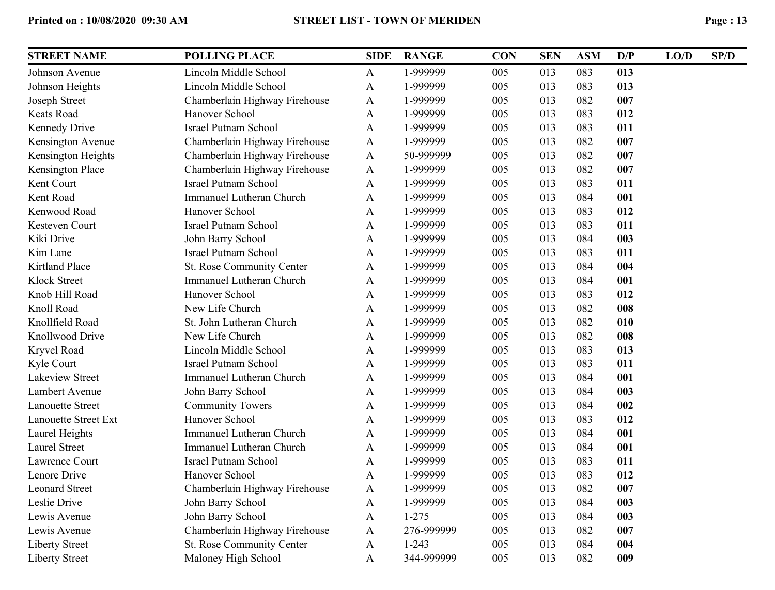| <b>STREET NAME</b>          | <b>POLLING PLACE</b>            | <b>SIDE</b>  | <b>RANGE</b> | <b>CON</b> | <b>SEN</b> | <b>ASM</b> | D/P | LO/D | SP/D |
|-----------------------------|---------------------------------|--------------|--------------|------------|------------|------------|-----|------|------|
| Johnson Avenue              | Lincoln Middle School           | A            | 1-999999     | 005        | 013        | 083        | 013 |      |      |
| Johnson Heights             | Lincoln Middle School           | A            | 1-999999     | 005        | 013        | 083        | 013 |      |      |
| Joseph Street               | Chamberlain Highway Firehouse   | A            | 1-999999     | 005        | 013        | 082        | 007 |      |      |
| Keats Road                  | Hanover School                  | A            | 1-999999     | 005        | 013        | 083        | 012 |      |      |
| Kennedy Drive               | <b>Israel Putnam School</b>     | A            | 1-999999     | 005        | 013        | 083        | 011 |      |      |
| Kensington Avenue           | Chamberlain Highway Firehouse   | A            | 1-999999     | 005        | 013        | 082        | 007 |      |      |
| Kensington Heights          | Chamberlain Highway Firehouse   | $\mathbf{A}$ | 50-999999    | 005        | 013        | 082        | 007 |      |      |
| <b>Kensington Place</b>     | Chamberlain Highway Firehouse   | A            | 1-999999     | 005        | 013        | 082        | 007 |      |      |
| Kent Court                  | <b>Israel Putnam School</b>     | A            | 1-999999     | 005        | 013        | 083        | 011 |      |      |
| Kent Road                   | Immanuel Lutheran Church        | A            | 1-999999     | 005        | 013        | 084        | 001 |      |      |
| Kenwood Road                | Hanover School                  | A            | 1-999999     | 005        | 013        | 083        | 012 |      |      |
| Kesteven Court              | <b>Israel Putnam School</b>     | A            | 1-999999     | 005        | 013        | 083        | 011 |      |      |
| Kiki Drive                  | John Barry School               | A            | 1-999999     | 005        | 013        | 084        | 003 |      |      |
| Kim Lane                    | <b>Israel Putnam School</b>     | A            | 1-999999     | 005        | 013        | 083        | 011 |      |      |
| Kirtland Place              | St. Rose Community Center       | A            | 1-999999     | 005        | 013        | 084        | 004 |      |      |
| <b>Klock Street</b>         | Immanuel Lutheran Church        | A            | 1-999999     | 005        | 013        | 084        | 001 |      |      |
| Knob Hill Road              | Hanover School                  | A            | 1-999999     | 005        | 013        | 083        | 012 |      |      |
| Knoll Road                  | New Life Church                 | A            | 1-999999     | 005        | 013        | 082        | 008 |      |      |
| Knollfield Road             | St. John Lutheran Church        | A            | 1-999999     | 005        | 013        | 082        | 010 |      |      |
| Knollwood Drive             | New Life Church                 | A            | 1-999999     | 005        | 013        | 082        | 008 |      |      |
| Kryvel Road                 | Lincoln Middle School           | A            | 1-999999     | 005        | 013        | 083        | 013 |      |      |
| Kyle Court                  | <b>Israel Putnam School</b>     | A            | 1-999999     | 005        | 013        | 083        | 011 |      |      |
| Lakeview Street             | <b>Immanuel Lutheran Church</b> | A            | 1-999999     | 005        | 013        | 084        | 001 |      |      |
| Lambert Avenue              | John Barry School               | A            | 1-999999     | 005        | 013        | 084        | 003 |      |      |
| <b>Lanouette Street</b>     | <b>Community Towers</b>         | A            | 1-999999     | 005        | 013        | 084        | 002 |      |      |
| <b>Lanouette Street Ext</b> | Hanover School                  | A            | 1-999999     | 005        | 013        | 083        | 012 |      |      |
| Laurel Heights              | Immanuel Lutheran Church        | A            | 1-999999     | 005        | 013        | 084        | 001 |      |      |
| <b>Laurel Street</b>        | Immanuel Lutheran Church        | A            | 1-999999     | 005        | 013        | 084        | 001 |      |      |
| Lawrence Court              | <b>Israel Putnam School</b>     | A            | 1-999999     | 005        | 013        | 083        | 011 |      |      |
| Lenore Drive                | Hanover School                  | A            | 1-999999     | 005        | 013        | 083        | 012 |      |      |
| <b>Leonard Street</b>       | Chamberlain Highway Firehouse   | A            | 1-999999     | 005        | 013        | 082        | 007 |      |      |
| Leslie Drive                | John Barry School               | A            | 1-999999     | 005        | 013        | 084        | 003 |      |      |
| Lewis Avenue                | John Barry School               | A            | $1 - 275$    | 005        | 013        | 084        | 003 |      |      |
| Lewis Avenue                | Chamberlain Highway Firehouse   | $\mathbf{A}$ | 276-999999   | 005        | 013        | 082        | 007 |      |      |
| <b>Liberty Street</b>       | St. Rose Community Center       | A            | $1 - 243$    | 005        | 013        | 084        | 004 |      |      |
| <b>Liberty Street</b>       | Maloney High School             | $\mathbf{A}$ | 344-999999   | 005        | 013        | 082        | 009 |      |      |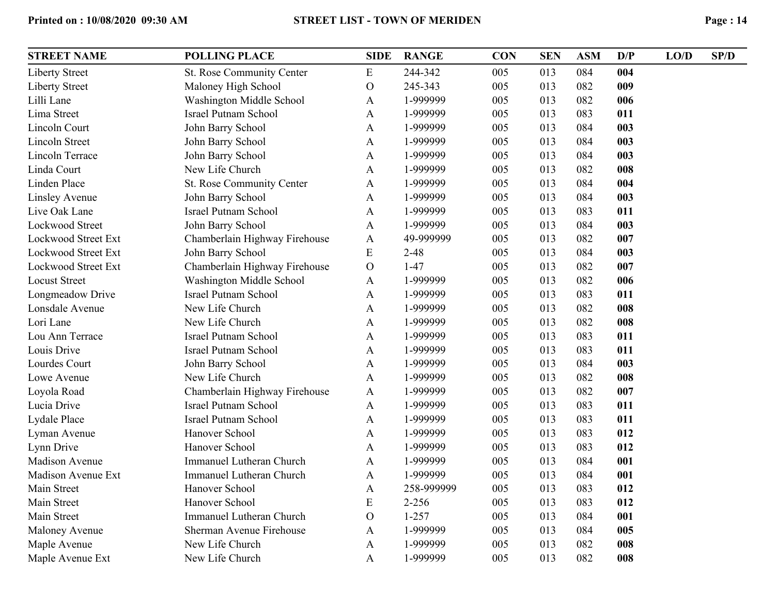| <b>STREET NAME</b>         | <b>POLLING PLACE</b>            | <b>SIDE</b>    | <b>RANGE</b> | <b>CON</b> | <b>SEN</b> | <b>ASM</b> | D/P | LO/D | SP/D |
|----------------------------|---------------------------------|----------------|--------------|------------|------------|------------|-----|------|------|
| <b>Liberty Street</b>      | St. Rose Community Center       | E              | 244-342      | 005        | 013        | 084        | 004 |      |      |
| <b>Liberty Street</b>      | Maloney High School             | $\overline{O}$ | 245-343      | 005        | 013        | 082        | 009 |      |      |
| Lilli Lane                 | Washington Middle School        | A              | 1-999999     | 005        | 013        | 082        | 006 |      |      |
| Lima Street                | <b>Israel Putnam School</b>     | $\mathbf{A}$   | 1-999999     | 005        | 013        | 083        | 011 |      |      |
| <b>Lincoln Court</b>       | John Barry School               | A              | 1-999999     | 005        | 013        | 084        | 003 |      |      |
| <b>Lincoln Street</b>      | John Barry School               | $\mathbf{A}$   | 1-999999     | 005        | 013        | 084        | 003 |      |      |
| Lincoln Terrace            | John Barry School               | $\mathbf{A}$   | 1-999999     | 005        | 013        | 084        | 003 |      |      |
| Linda Court                | New Life Church                 | A              | 1-999999     | 005        | 013        | 082        | 008 |      |      |
| Linden Place               | St. Rose Community Center       | A              | 1-999999     | 005        | 013        | 084        | 004 |      |      |
| <b>Linsley Avenue</b>      | John Barry School               | $\mathbf{A}$   | 1-999999     | 005        | 013        | 084        | 003 |      |      |
| Live Oak Lane              | <b>Israel Putnam School</b>     | A              | 1-999999     | 005        | 013        | 083        | 011 |      |      |
| <b>Lockwood Street</b>     | John Barry School               | $\mathbf{A}$   | 1-999999     | 005        | 013        | 084        | 003 |      |      |
| <b>Lockwood Street Ext</b> | Chamberlain Highway Firehouse   | $\mathbf{A}$   | 49-999999    | 005        | 013        | 082        | 007 |      |      |
| <b>Lockwood Street Ext</b> | John Barry School               | E              | $2 - 48$     | 005        | 013        | 084        | 003 |      |      |
| <b>Lockwood Street Ext</b> | Chamberlain Highway Firehouse   | $\mathcal{O}$  | $1 - 47$     | 005        | 013        | 082        | 007 |      |      |
| <b>Locust Street</b>       | Washington Middle School        | $\mathbf{A}$   | 1-999999     | 005        | 013        | 082        | 006 |      |      |
| Longmeadow Drive           | <b>Israel Putnam School</b>     | A              | 1-999999     | 005        | 013        | 083        | 011 |      |      |
| Lonsdale Avenue            | New Life Church                 | A              | 1-999999     | 005        | 013        | 082        | 008 |      |      |
| Lori Lane                  | New Life Church                 | $\mathbf{A}$   | 1-999999     | 005        | 013        | 082        | 008 |      |      |
| Lou Ann Terrace            | <b>Israel Putnam School</b>     | $\mathbf{A}$   | 1-999999     | 005        | 013        | 083        | 011 |      |      |
| Louis Drive                | <b>Israel Putnam School</b>     | $\mathbf{A}$   | 1-999999     | 005        | 013        | 083        | 011 |      |      |
| Lourdes Court              | John Barry School               | $\mathbf{A}$   | 1-999999     | 005        | 013        | 084        | 003 |      |      |
| Lowe Avenue                | New Life Church                 | $\mathbf{A}$   | 1-999999     | 005        | 013        | 082        | 008 |      |      |
| Loyola Road                | Chamberlain Highway Firehouse   | A              | 1-999999     | 005        | 013        | 082        | 007 |      |      |
| Lucia Drive                | <b>Israel Putnam School</b>     | $\mathbf{A}$   | 1-999999     | 005        | 013        | 083        | 011 |      |      |
| Lydale Place               | <b>Israel Putnam School</b>     | A              | 1-999999     | 005        | 013        | 083        | 011 |      |      |
| Lyman Avenue               | Hanover School                  | $\mathbf{A}$   | 1-999999     | 005        | 013        | 083        | 012 |      |      |
| Lynn Drive                 | Hanover School                  | $\mathbf{A}$   | 1-999999     | 005        | 013        | 083        | 012 |      |      |
| <b>Madison Avenue</b>      | Immanuel Lutheran Church        | A              | 1-999999     | 005        | 013        | 084        | 001 |      |      |
| Madison Avenue Ext         | <b>Immanuel Lutheran Church</b> | $\mathbf{A}$   | 1-999999     | 005        | 013        | 084        | 001 |      |      |
| Main Street                | Hanover School                  | $\mathbf{A}$   | 258-999999   | 005        | 013        | 083        | 012 |      |      |
| Main Street                | Hanover School                  | E              | $2 - 256$    | 005        | 013        | 083        | 012 |      |      |
| Main Street                | <b>Immanuel Lutheran Church</b> | $\mathcal{O}$  | $1 - 257$    | 005        | 013        | 084        | 001 |      |      |
| Maloney Avenue             | Sherman Avenue Firehouse        | A              | 1-999999     | 005        | 013        | 084        | 005 |      |      |
| Maple Avenue               | New Life Church                 | $\mathbf{A}$   | 1-999999     | 005        | 013        | 082        | 008 |      |      |
| Maple Avenue Ext           | New Life Church                 | A              | 1-999999     | 005        | 013        | 082        | 008 |      |      |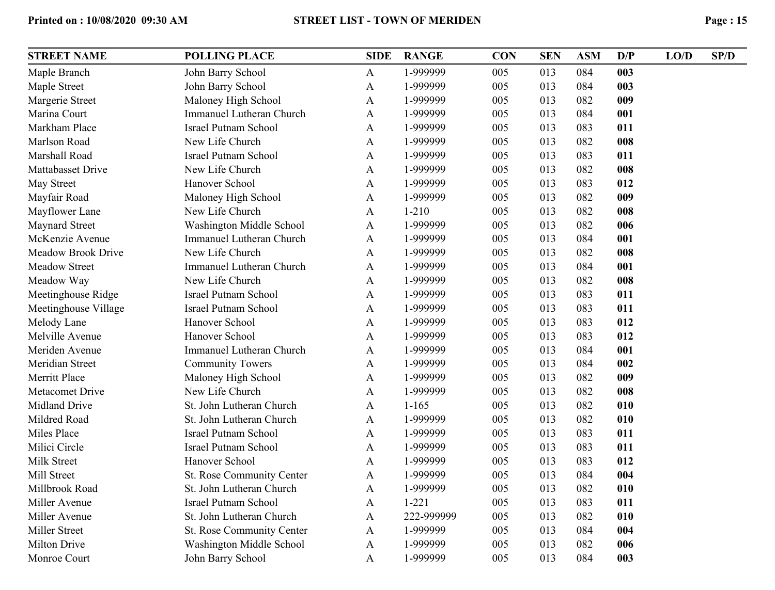| <b>STREET NAME</b>   | <b>POLLING PLACE</b>            | <b>SIDE</b>  | <b>RANGE</b> | <b>CON</b> | <b>SEN</b> | <b>ASM</b> | D/P | LO/D | SP/D |
|----------------------|---------------------------------|--------------|--------------|------------|------------|------------|-----|------|------|
| Maple Branch         | John Barry School               | A            | 1-999999     | 005        | 013        | 084        | 003 |      |      |
| Maple Street         | John Barry School               | A            | 1-999999     | 005        | 013        | 084        | 003 |      |      |
| Margerie Street      | Maloney High School             | A            | 1-999999     | 005        | 013        | 082        | 009 |      |      |
| Marina Court         | <b>Immanuel Lutheran Church</b> | A            | 1-999999     | 005        | 013        | 084        | 001 |      |      |
| Markham Place        | <b>Israel Putnam School</b>     | A            | 1-999999     | 005        | 013        | 083        | 011 |      |      |
| Marlson Road         | New Life Church                 | A            | 1-999999     | 005        | 013        | 082        | 008 |      |      |
| Marshall Road        | Israel Putnam School            | A            | 1-999999     | 005        | 013        | 083        | 011 |      |      |
| Mattabasset Drive    | New Life Church                 | A            | 1-999999     | 005        | 013        | 082        | 008 |      |      |
| May Street           | Hanover School                  | A            | 1-999999     | 005        | 013        | 083        | 012 |      |      |
| Mayfair Road         | Maloney High School             | A            | 1-999999     | 005        | 013        | 082        | 009 |      |      |
| Mayflower Lane       | New Life Church                 | A            | $1 - 210$    | 005        | 013        | 082        | 008 |      |      |
| Maynard Street       | Washington Middle School        | A            | 1-999999     | 005        | 013        | 082        | 006 |      |      |
| McKenzie Avenue      | Immanuel Lutheran Church        | A            | 1-999999     | 005        | 013        | 084        | 001 |      |      |
| Meadow Brook Drive   | New Life Church                 | A            | 1-999999     | 005        | 013        | 082        | 008 |      |      |
| Meadow Street        | Immanuel Lutheran Church        | A            | 1-999999     | 005        | 013        | 084        | 001 |      |      |
| Meadow Way           | New Life Church                 | A            | 1-999999     | 005        | 013        | 082        | 008 |      |      |
| Meetinghouse Ridge   | <b>Israel Putnam School</b>     | A            | 1-999999     | 005        | 013        | 083        | 011 |      |      |
| Meetinghouse Village | <b>Israel Putnam School</b>     | A            | 1-999999     | 005        | 013        | 083        | 011 |      |      |
| Melody Lane          | Hanover School                  | A            | 1-999999     | 005        | 013        | 083        | 012 |      |      |
| Melville Avenue      | Hanover School                  | A            | 1-999999     | 005        | 013        | 083        | 012 |      |      |
| Meriden Avenue       | Immanuel Lutheran Church        | A            | 1-999999     | 005        | 013        | 084        | 001 |      |      |
| Meridian Street      | <b>Community Towers</b>         | A            | 1-999999     | 005        | 013        | 084        | 002 |      |      |
| Merritt Place        | Maloney High School             | A            | 1-999999     | 005        | 013        | 082        | 009 |      |      |
| Metacomet Drive      | New Life Church                 | A            | 1-999999     | 005        | 013        | 082        | 008 |      |      |
| Midland Drive        | St. John Lutheran Church        | A            | $1 - 165$    | 005        | 013        | 082        | 010 |      |      |
| Mildred Road         | St. John Lutheran Church        | A            | 1-999999     | 005        | 013        | 082        | 010 |      |      |
| Miles Place          | <b>Israel Putnam School</b>     | A            | 1-999999     | 005        | 013        | 083        | 011 |      |      |
| Milici Circle        | <b>Israel Putnam School</b>     | A            | 1-999999     | 005        | 013        | 083        | 011 |      |      |
| Milk Street          | Hanover School                  | A            | 1-999999     | 005        | 013        | 083        | 012 |      |      |
| Mill Street          | St. Rose Community Center       | A            | 1-999999     | 005        | 013        | 084        | 004 |      |      |
| Millbrook Road       | St. John Lutheran Church        | A            | 1-999999     | 005        | 013        | 082        | 010 |      |      |
| Miller Avenue        | <b>Israel Putnam School</b>     | A            | $1 - 221$    | 005        | 013        | 083        | 011 |      |      |
| Miller Avenue        | St. John Lutheran Church        | A            | 222-999999   | 005        | 013        | 082        | 010 |      |      |
| Miller Street        | St. Rose Community Center       | $\mathbf{A}$ | 1-999999     | 005        | 013        | 084        | 004 |      |      |
| <b>Milton Drive</b>  | Washington Middle School        | A            | 1-999999     | 005        | 013        | 082        | 006 |      |      |
| Monroe Court         | John Barry School               | A            | 1-999999     | 005        | 013        | 084        | 003 |      |      |
|                      |                                 |              |              |            |            |            |     |      |      |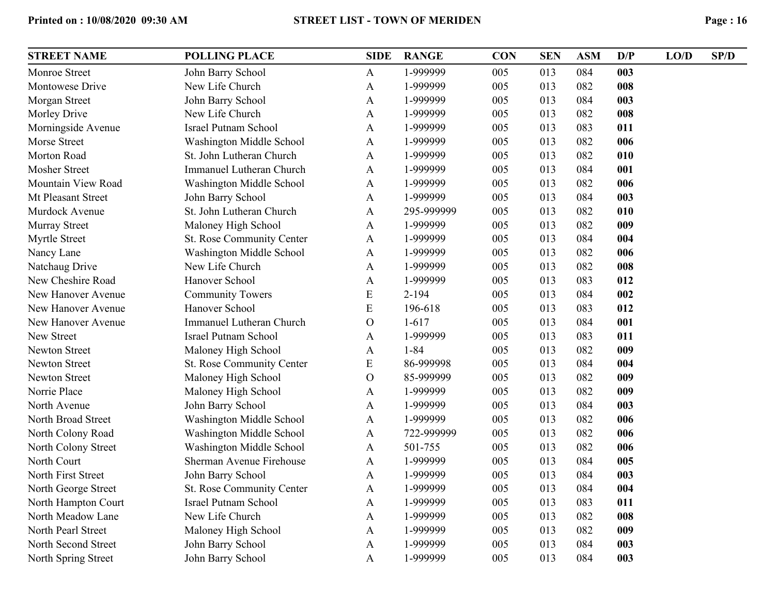| <b>STREET NAME</b>   | <b>POLLING PLACE</b>            | <b>SIDE</b>    | <b>RANGE</b> | <b>CON</b> | <b>SEN</b> | <b>ASM</b> | D/P | LO/D | SP/D |
|----------------------|---------------------------------|----------------|--------------|------------|------------|------------|-----|------|------|
| Monroe Street        | John Barry School               | A              | 1-999999     | 005        | 013        | 084        | 003 |      |      |
| Montowese Drive      | New Life Church                 | A              | 1-999999     | 005        | 013        | 082        | 008 |      |      |
| Morgan Street        | John Barry School               | A              | 1-999999     | 005        | 013        | 084        | 003 |      |      |
| Morley Drive         | New Life Church                 | A              | 1-999999     | 005        | 013        | 082        | 008 |      |      |
| Morningside Avenue   | <b>Israel Putnam School</b>     | A              | 1-999999     | 005        | 013        | 083        | 011 |      |      |
| Morse Street         | Washington Middle School        | A              | 1-999999     | 005        | 013        | 082        | 006 |      |      |
| Morton Road          | St. John Lutheran Church        | A              | 1-999999     | 005        | 013        | 082        | 010 |      |      |
| <b>Mosher Street</b> | <b>Immanuel Lutheran Church</b> | A              | 1-999999     | 005        | 013        | 084        | 001 |      |      |
| Mountain View Road   | Washington Middle School        | A              | 1-999999     | 005        | 013        | 082        | 006 |      |      |
| Mt Pleasant Street   | John Barry School               | A              | 1-999999     | 005        | 013        | 084        | 003 |      |      |
| Murdock Avenue       | St. John Lutheran Church        | A              | 295-999999   | 005        | 013        | 082        | 010 |      |      |
| Murray Street        | Maloney High School             | A              | 1-999999     | 005        | 013        | 082        | 009 |      |      |
| Myrtle Street        | St. Rose Community Center       | A              | 1-999999     | 005        | 013        | 084        | 004 |      |      |
| Nancy Lane           | Washington Middle School        | A              | 1-999999     | 005        | 013        | 082        | 006 |      |      |
| Natchaug Drive       | New Life Church                 | A              | 1-999999     | 005        | 013        | 082        | 008 |      |      |
| New Cheshire Road    | Hanover School                  | A              | 1-999999     | 005        | 013        | 083        | 012 |      |      |
| New Hanover Avenue   | <b>Community Towers</b>         | ${\bf E}$      | $2 - 194$    | 005        | 013        | 084        | 002 |      |      |
| New Hanover Avenue   | Hanover School                  | E              | 196-618      | 005        | 013        | 083        | 012 |      |      |
| New Hanover Avenue   | <b>Immanuel Lutheran Church</b> | $\overline{O}$ | $1 - 617$    | 005        | 013        | 084        | 001 |      |      |
| New Street           | <b>Israel Putnam School</b>     | A              | 1-999999     | 005        | 013        | 083        | 011 |      |      |
| Newton Street        | Maloney High School             | A              | $1 - 84$     | 005        | 013        | 082        | 009 |      |      |
| Newton Street        | St. Rose Community Center       | E              | 86-999998    | 005        | 013        | 084        | 004 |      |      |
| Newton Street        | Maloney High School             | $\overline{O}$ | 85-999999    | 005        | 013        | 082        | 009 |      |      |
| Norrie Place         | Maloney High School             | A              | 1-999999     | 005        | 013        | 082        | 009 |      |      |
| North Avenue         | John Barry School               | A              | 1-999999     | 005        | 013        | 084        | 003 |      |      |
| North Broad Street   | <b>Washington Middle School</b> | A              | 1-999999     | 005        | 013        | 082        | 006 |      |      |
| North Colony Road    | Washington Middle School        | A              | 722-999999   | 005        | 013        | 082        | 006 |      |      |
| North Colony Street  | Washington Middle School        | A              | 501-755      | 005        | 013        | 082        | 006 |      |      |
| North Court          | Sherman Avenue Firehouse        | A              | 1-999999     | 005        | 013        | 084        | 005 |      |      |
| North First Street   | John Barry School               | A              | 1-999999     | 005        | 013        | 084        | 003 |      |      |
| North George Street  | St. Rose Community Center       | A              | 1-999999     | 005        | 013        | 084        | 004 |      |      |
| North Hampton Court  | <b>Israel Putnam School</b>     | A              | 1-999999     | 005        | 013        | 083        | 011 |      |      |
| North Meadow Lane    | New Life Church                 | A              | 1-999999     | 005        | 013        | 082        | 008 |      |      |
| North Pearl Street   | Maloney High School             | A              | 1-999999     | 005        | 013        | 082        | 009 |      |      |
| North Second Street  | John Barry School               | A              | 1-999999     | 005        | 013        | 084        | 003 |      |      |
| North Spring Street  | John Barry School               | A              | 1-999999     | 005        | 013        | 084        | 003 |      |      |
|                      |                                 |                |              |            |            |            |     |      |      |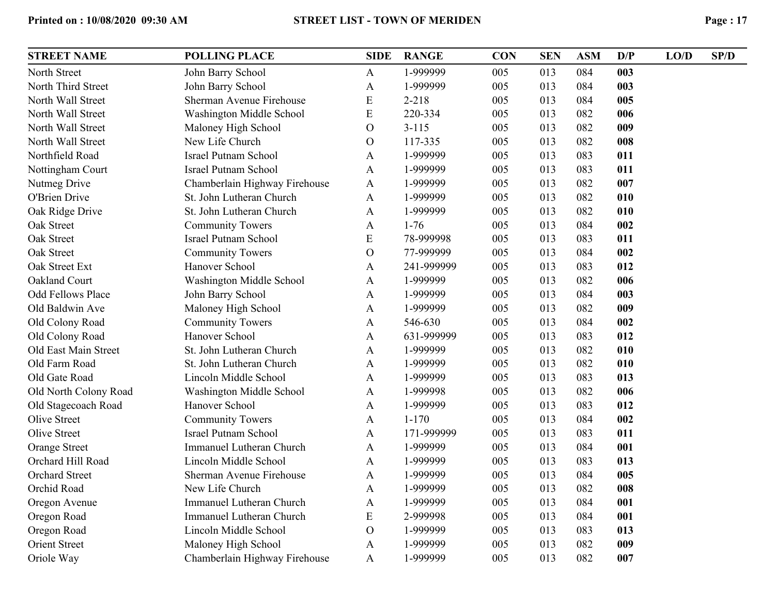| <b>STREET NAME</b>       | <b>POLLING PLACE</b>            | <b>SIDE</b>   | <b>RANGE</b> | <b>CON</b> | <b>SEN</b> | <b>ASM</b> | D/P | LO/D | SP/D |
|--------------------------|---------------------------------|---------------|--------------|------------|------------|------------|-----|------|------|
| North Street             | John Barry School               | $\mathbf{A}$  | 1-999999     | 005        | 013        | 084        | 003 |      |      |
| North Third Street       | John Barry School               | A             | 1-999999     | 005        | 013        | 084        | 003 |      |      |
| North Wall Street        | Sherman Avenue Firehouse        | E             | $2 - 218$    | 005        | 013        | 084        | 005 |      |      |
| North Wall Street        | Washington Middle School        | ${\rm E}$     | 220-334      | 005        | 013        | 082        | 006 |      |      |
| North Wall Street        | Maloney High School             | $\mathbf{O}$  | $3 - 115$    | 005        | 013        | 082        | 009 |      |      |
| North Wall Street        | New Life Church                 | $\mathbf O$   | 117-335      | 005        | 013        | 082        | 008 |      |      |
| Northfield Road          | <b>Israel Putnam School</b>     | A             | 1-999999     | 005        | 013        | 083        | 011 |      |      |
| Nottingham Court         | <b>Israel Putnam School</b>     | A             | 1-999999     | 005        | 013        | 083        | 011 |      |      |
| Nutmeg Drive             | Chamberlain Highway Firehouse   | $\mathbf{A}$  | 1-999999     | 005        | 013        | 082        | 007 |      |      |
| O'Brien Drive            | St. John Lutheran Church        | A             | 1-999999     | 005        | 013        | 082        | 010 |      |      |
| Oak Ridge Drive          | St. John Lutheran Church        | A             | 1-999999     | 005        | 013        | 082        | 010 |      |      |
| Oak Street               | <b>Community Towers</b>         | A             | $1 - 76$     | 005        | 013        | 084        | 002 |      |      |
| Oak Street               | <b>Israel Putnam School</b>     | ${\bf E}$     | 78-999998    | 005        | 013        | 083        | 011 |      |      |
| Oak Street               | <b>Community Towers</b>         | $\mathcal{O}$ | 77-999999    | 005        | 013        | 084        | 002 |      |      |
| Oak Street Ext           | Hanover School                  | A             | 241-999999   | 005        | 013        | 083        | 012 |      |      |
| Oakland Court            | Washington Middle School        | A             | 1-999999     | 005        | 013        | 082        | 006 |      |      |
| <b>Odd Fellows Place</b> | John Barry School               | A             | 1-999999     | 005        | 013        | 084        | 003 |      |      |
| Old Baldwin Ave          | Maloney High School             | A             | 1-999999     | 005        | 013        | 082        | 009 |      |      |
| Old Colony Road          | <b>Community Towers</b>         | A             | 546-630      | 005        | 013        | 084        | 002 |      |      |
| Old Colony Road          | Hanover School                  | A             | 631-999999   | 005        | 013        | 083        | 012 |      |      |
| Old East Main Street     | St. John Lutheran Church        | A             | 1-999999     | 005        | 013        | 082        | 010 |      |      |
| Old Farm Road            | St. John Lutheran Church        | A             | 1-999999     | 005        | 013        | 082        | 010 |      |      |
| Old Gate Road            | Lincoln Middle School           | A             | 1-999999     | 005        | 013        | 083        | 013 |      |      |
| Old North Colony Road    | Washington Middle School        | $\mathbf{A}$  | 1-999998     | 005        | 013        | 082        | 006 |      |      |
| Old Stagecoach Road      | Hanover School                  | A             | 1-999999     | 005        | 013        | 083        | 012 |      |      |
| Olive Street             | <b>Community Towers</b>         | A             | $1 - 170$    | 005        | 013        | 084        | 002 |      |      |
| Olive Street             | <b>Israel Putnam School</b>     | A             | 171-999999   | 005        | 013        | 083        | 011 |      |      |
| Orange Street            | <b>Immanuel Lutheran Church</b> | A             | 1-999999     | 005        | 013        | 084        | 001 |      |      |
| Orchard Hill Road        | Lincoln Middle School           | A             | 1-999999     | 005        | 013        | 083        | 013 |      |      |
| <b>Orchard Street</b>    | Sherman Avenue Firehouse        | A             | 1-999999     | 005        | 013        | 084        | 005 |      |      |
| Orchid Road              | New Life Church                 | A             | 1-999999     | 005        | 013        | 082        | 008 |      |      |
| Oregon Avenue            | Immanuel Lutheran Church        | A             | 1-999999     | 005        | 013        | 084        | 001 |      |      |
| Oregon Road              | Immanuel Lutheran Church        | ${\bf E}$     | 2-999998     | 005        | 013        | 084        | 001 |      |      |
| Oregon Road              | Lincoln Middle School           | $\mathcal{O}$ | 1-999999     | 005        | 013        | 083        | 013 |      |      |
| <b>Orient Street</b>     | Maloney High School             | A             | 1-999999     | 005        | 013        | 082        | 009 |      |      |
| Oriole Way               | Chamberlain Highway Firehouse   | $\mathbf{A}$  | 1-999999     | 005        | 013        | 082        | 007 |      |      |
|                          |                                 |               |              |            |            |            |     |      |      |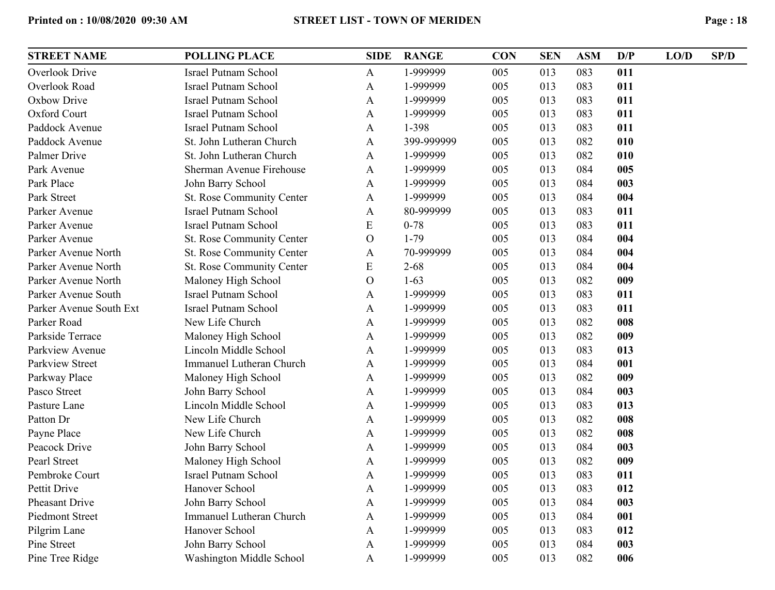| 1-999999<br>005<br>013<br>083<br>011<br><b>Overlook Drive</b><br><b>Israel Putnam School</b><br>A<br>1-999999<br>005<br>013<br>083<br>011<br>Overlook Road<br><b>Israel Putnam School</b><br>A<br>1-999999<br>005<br>013<br>083<br>011<br>Oxbow Drive<br><b>Israel Putnam School</b><br>A<br><b>Oxford Court</b><br><b>Israel Putnam School</b><br>1-999999<br>005<br>013<br>083<br>011<br>A<br>1-398<br>013<br>011<br>Paddock Avenue<br><b>Israel Putnam School</b><br>005<br>083<br>A<br>399-999999<br>013<br>082<br>010<br>Paddock Avenue<br>St. John Lutheran Church<br>005<br>A<br>Palmer Drive<br>St. John Lutheran Church<br>1-999999<br>005<br>013<br>082<br>010<br>A<br>Park Avenue<br>Sherman Avenue Firehouse<br>1-999999<br>005<br>013<br>084<br>005<br>A<br>013<br>084<br>003<br>Park Place<br>John Barry School<br>1-999999<br>005<br>A<br>Park Street<br>St. Rose Community Center<br>1-999999<br>013<br>084<br>004<br>005<br>A<br><b>Israel Putnam School</b><br>80-999999<br>005<br>013<br>083<br>011<br>Parker Avenue<br>A<br>${\bf E}$<br>$0 - 78$<br><b>Israel Putnam School</b><br>005<br>013<br>083<br>011<br>Parker Avenue<br>$1 - 79$<br>013<br>084<br>004<br>Parker Avenue<br>St. Rose Community Center<br>$\mathcal{O}$<br>005<br>70-999999<br>013<br>084<br>004<br>Parker Avenue North<br>St. Rose Community Center<br>005<br>A<br>St. Rose Community Center<br>E<br>$2 - 68$<br>005<br>013<br>084<br>004<br>Parker Avenue North<br>$1-63$<br>009<br>Parker Avenue North<br>Maloney High School<br>$\overline{O}$<br>005<br>013<br>082<br><b>Israel Putnam School</b><br>1-999999<br>013<br>011<br>Parker Avenue South<br>005<br>083<br>A<br><b>Israel Putnam School</b><br>013<br>083<br>011<br>Parker Avenue South Ext<br>1-999999<br>005<br>A<br>Parker Road<br>New Life Church<br>1-999999<br>005<br>013<br>082<br>008<br>A<br>013<br>082<br>009<br>Parkside Terrace<br>Maloney High School<br>1-999999<br>005<br>$\mathbf{A}$<br>013<br>013<br>Parkview Avenue<br>Lincoln Middle School<br>1-999999<br>005<br>083<br>A<br>Parkview Street<br><b>Immanuel Lutheran Church</b><br>1-999999<br>005<br>013<br>084<br>001<br>A<br>1-999999<br>005<br>013<br>082<br>009<br>Parkway Place<br>Maloney High School<br>$\mathbf{A}$<br>013<br>Pasco Street<br>1-999999<br>005<br>084<br>003<br>John Barry School<br>A<br>005<br>013<br>083<br>013<br>Pasture Lane<br>Lincoln Middle School<br>1-999999<br>A<br>Patton Dr<br>New Life Church<br>005<br>013<br>082<br>008<br>1-999999<br>A<br>Payne Place<br>New Life Church<br>1-999999<br>005<br>013<br>082<br>008<br>A<br>005<br>013<br>084<br>003<br>Peacock Drive<br>John Barry School<br>1-999999<br>A<br>Pearl Street<br>005<br>013<br>082<br>009<br>Maloney High School<br>1-999999<br>A<br>Pembroke Court<br><b>Israel Putnam School</b><br>005<br>013<br>083<br>011<br>1-999999<br>A<br>Pettit Drive<br>Hanover School<br>013<br>083<br>012<br>1-999999<br>005<br>$\mathbf{A}$<br>005<br>013<br>084<br>003<br>Pheasant Drive<br>John Barry School<br>1-999999<br>A<br><b>Piedmont Street</b><br><b>Immanuel Lutheran Church</b><br>1-999999<br>005<br>013<br>084<br>001<br>$\mathbf{A}$<br>013<br>Hanover School<br>1-999999<br>005<br>083<br>012<br>Pilgrim Lane<br>$\mathbf{A}$<br>013<br>084<br>003<br>Pine Street<br>1-999999<br>005<br>John Barry School<br>$\mathbf{A}$<br>005<br>013<br>082<br>006<br>Pine Tree Ridge<br>Washington Middle School<br>1-999999<br>A | <b>STREET NAME</b> | <b>POLLING PLACE</b> | <b>SIDE</b> | <b>RANGE</b> | <b>CON</b> | <b>SEN</b> | <b>ASM</b> | D/P | LO/D | SP/D |
|---------------------------------------------------------------------------------------------------------------------------------------------------------------------------------------------------------------------------------------------------------------------------------------------------------------------------------------------------------------------------------------------------------------------------------------------------------------------------------------------------------------------------------------------------------------------------------------------------------------------------------------------------------------------------------------------------------------------------------------------------------------------------------------------------------------------------------------------------------------------------------------------------------------------------------------------------------------------------------------------------------------------------------------------------------------------------------------------------------------------------------------------------------------------------------------------------------------------------------------------------------------------------------------------------------------------------------------------------------------------------------------------------------------------------------------------------------------------------------------------------------------------------------------------------------------------------------------------------------------------------------------------------------------------------------------------------------------------------------------------------------------------------------------------------------------------------------------------------------------------------------------------------------------------------------------------------------------------------------------------------------------------------------------------------------------------------------------------------------------------------------------------------------------------------------------------------------------------------------------------------------------------------------------------------------------------------------------------------------------------------------------------------------------------------------------------------------------------------------------------------------------------------------------------------------------------------------------------------------------------------------------------------------------------------------------------------------------------------------------------------------------------------------------------------------------------------------------------------------------------------------------------------------------------------------------------------------------------------------------------------------------------------------------------------------------------------------------------------------------------------------------------------------------------------------------------------------------------------------------------------------------------------------------------------------------------------------------------------------------------------------------------------------------------------------------------------------|--------------------|----------------------|-------------|--------------|------------|------------|------------|-----|------|------|
|                                                                                                                                                                                                                                                                                                                                                                                                                                                                                                                                                                                                                                                                                                                                                                                                                                                                                                                                                                                                                                                                                                                                                                                                                                                                                                                                                                                                                                                                                                                                                                                                                                                                                                                                                                                                                                                                                                                                                                                                                                                                                                                                                                                                                                                                                                                                                                                                                                                                                                                                                                                                                                                                                                                                                                                                                                                                                                                                                                                                                                                                                                                                                                                                                                                                                                                                                                                                                                                         |                    |                      |             |              |            |            |            |     |      |      |
|                                                                                                                                                                                                                                                                                                                                                                                                                                                                                                                                                                                                                                                                                                                                                                                                                                                                                                                                                                                                                                                                                                                                                                                                                                                                                                                                                                                                                                                                                                                                                                                                                                                                                                                                                                                                                                                                                                                                                                                                                                                                                                                                                                                                                                                                                                                                                                                                                                                                                                                                                                                                                                                                                                                                                                                                                                                                                                                                                                                                                                                                                                                                                                                                                                                                                                                                                                                                                                                         |                    |                      |             |              |            |            |            |     |      |      |
|                                                                                                                                                                                                                                                                                                                                                                                                                                                                                                                                                                                                                                                                                                                                                                                                                                                                                                                                                                                                                                                                                                                                                                                                                                                                                                                                                                                                                                                                                                                                                                                                                                                                                                                                                                                                                                                                                                                                                                                                                                                                                                                                                                                                                                                                                                                                                                                                                                                                                                                                                                                                                                                                                                                                                                                                                                                                                                                                                                                                                                                                                                                                                                                                                                                                                                                                                                                                                                                         |                    |                      |             |              |            |            |            |     |      |      |
|                                                                                                                                                                                                                                                                                                                                                                                                                                                                                                                                                                                                                                                                                                                                                                                                                                                                                                                                                                                                                                                                                                                                                                                                                                                                                                                                                                                                                                                                                                                                                                                                                                                                                                                                                                                                                                                                                                                                                                                                                                                                                                                                                                                                                                                                                                                                                                                                                                                                                                                                                                                                                                                                                                                                                                                                                                                                                                                                                                                                                                                                                                                                                                                                                                                                                                                                                                                                                                                         |                    |                      |             |              |            |            |            |     |      |      |
|                                                                                                                                                                                                                                                                                                                                                                                                                                                                                                                                                                                                                                                                                                                                                                                                                                                                                                                                                                                                                                                                                                                                                                                                                                                                                                                                                                                                                                                                                                                                                                                                                                                                                                                                                                                                                                                                                                                                                                                                                                                                                                                                                                                                                                                                                                                                                                                                                                                                                                                                                                                                                                                                                                                                                                                                                                                                                                                                                                                                                                                                                                                                                                                                                                                                                                                                                                                                                                                         |                    |                      |             |              |            |            |            |     |      |      |
|                                                                                                                                                                                                                                                                                                                                                                                                                                                                                                                                                                                                                                                                                                                                                                                                                                                                                                                                                                                                                                                                                                                                                                                                                                                                                                                                                                                                                                                                                                                                                                                                                                                                                                                                                                                                                                                                                                                                                                                                                                                                                                                                                                                                                                                                                                                                                                                                                                                                                                                                                                                                                                                                                                                                                                                                                                                                                                                                                                                                                                                                                                                                                                                                                                                                                                                                                                                                                                                         |                    |                      |             |              |            |            |            |     |      |      |
|                                                                                                                                                                                                                                                                                                                                                                                                                                                                                                                                                                                                                                                                                                                                                                                                                                                                                                                                                                                                                                                                                                                                                                                                                                                                                                                                                                                                                                                                                                                                                                                                                                                                                                                                                                                                                                                                                                                                                                                                                                                                                                                                                                                                                                                                                                                                                                                                                                                                                                                                                                                                                                                                                                                                                                                                                                                                                                                                                                                                                                                                                                                                                                                                                                                                                                                                                                                                                                                         |                    |                      |             |              |            |            |            |     |      |      |
|                                                                                                                                                                                                                                                                                                                                                                                                                                                                                                                                                                                                                                                                                                                                                                                                                                                                                                                                                                                                                                                                                                                                                                                                                                                                                                                                                                                                                                                                                                                                                                                                                                                                                                                                                                                                                                                                                                                                                                                                                                                                                                                                                                                                                                                                                                                                                                                                                                                                                                                                                                                                                                                                                                                                                                                                                                                                                                                                                                                                                                                                                                                                                                                                                                                                                                                                                                                                                                                         |                    |                      |             |              |            |            |            |     |      |      |
|                                                                                                                                                                                                                                                                                                                                                                                                                                                                                                                                                                                                                                                                                                                                                                                                                                                                                                                                                                                                                                                                                                                                                                                                                                                                                                                                                                                                                                                                                                                                                                                                                                                                                                                                                                                                                                                                                                                                                                                                                                                                                                                                                                                                                                                                                                                                                                                                                                                                                                                                                                                                                                                                                                                                                                                                                                                                                                                                                                                                                                                                                                                                                                                                                                                                                                                                                                                                                                                         |                    |                      |             |              |            |            |            |     |      |      |
|                                                                                                                                                                                                                                                                                                                                                                                                                                                                                                                                                                                                                                                                                                                                                                                                                                                                                                                                                                                                                                                                                                                                                                                                                                                                                                                                                                                                                                                                                                                                                                                                                                                                                                                                                                                                                                                                                                                                                                                                                                                                                                                                                                                                                                                                                                                                                                                                                                                                                                                                                                                                                                                                                                                                                                                                                                                                                                                                                                                                                                                                                                                                                                                                                                                                                                                                                                                                                                                         |                    |                      |             |              |            |            |            |     |      |      |
|                                                                                                                                                                                                                                                                                                                                                                                                                                                                                                                                                                                                                                                                                                                                                                                                                                                                                                                                                                                                                                                                                                                                                                                                                                                                                                                                                                                                                                                                                                                                                                                                                                                                                                                                                                                                                                                                                                                                                                                                                                                                                                                                                                                                                                                                                                                                                                                                                                                                                                                                                                                                                                                                                                                                                                                                                                                                                                                                                                                                                                                                                                                                                                                                                                                                                                                                                                                                                                                         |                    |                      |             |              |            |            |            |     |      |      |
|                                                                                                                                                                                                                                                                                                                                                                                                                                                                                                                                                                                                                                                                                                                                                                                                                                                                                                                                                                                                                                                                                                                                                                                                                                                                                                                                                                                                                                                                                                                                                                                                                                                                                                                                                                                                                                                                                                                                                                                                                                                                                                                                                                                                                                                                                                                                                                                                                                                                                                                                                                                                                                                                                                                                                                                                                                                                                                                                                                                                                                                                                                                                                                                                                                                                                                                                                                                                                                                         |                    |                      |             |              |            |            |            |     |      |      |
|                                                                                                                                                                                                                                                                                                                                                                                                                                                                                                                                                                                                                                                                                                                                                                                                                                                                                                                                                                                                                                                                                                                                                                                                                                                                                                                                                                                                                                                                                                                                                                                                                                                                                                                                                                                                                                                                                                                                                                                                                                                                                                                                                                                                                                                                                                                                                                                                                                                                                                                                                                                                                                                                                                                                                                                                                                                                                                                                                                                                                                                                                                                                                                                                                                                                                                                                                                                                                                                         |                    |                      |             |              |            |            |            |     |      |      |
|                                                                                                                                                                                                                                                                                                                                                                                                                                                                                                                                                                                                                                                                                                                                                                                                                                                                                                                                                                                                                                                                                                                                                                                                                                                                                                                                                                                                                                                                                                                                                                                                                                                                                                                                                                                                                                                                                                                                                                                                                                                                                                                                                                                                                                                                                                                                                                                                                                                                                                                                                                                                                                                                                                                                                                                                                                                                                                                                                                                                                                                                                                                                                                                                                                                                                                                                                                                                                                                         |                    |                      |             |              |            |            |            |     |      |      |
|                                                                                                                                                                                                                                                                                                                                                                                                                                                                                                                                                                                                                                                                                                                                                                                                                                                                                                                                                                                                                                                                                                                                                                                                                                                                                                                                                                                                                                                                                                                                                                                                                                                                                                                                                                                                                                                                                                                                                                                                                                                                                                                                                                                                                                                                                                                                                                                                                                                                                                                                                                                                                                                                                                                                                                                                                                                                                                                                                                                                                                                                                                                                                                                                                                                                                                                                                                                                                                                         |                    |                      |             |              |            |            |            |     |      |      |
|                                                                                                                                                                                                                                                                                                                                                                                                                                                                                                                                                                                                                                                                                                                                                                                                                                                                                                                                                                                                                                                                                                                                                                                                                                                                                                                                                                                                                                                                                                                                                                                                                                                                                                                                                                                                                                                                                                                                                                                                                                                                                                                                                                                                                                                                                                                                                                                                                                                                                                                                                                                                                                                                                                                                                                                                                                                                                                                                                                                                                                                                                                                                                                                                                                                                                                                                                                                                                                                         |                    |                      |             |              |            |            |            |     |      |      |
|                                                                                                                                                                                                                                                                                                                                                                                                                                                                                                                                                                                                                                                                                                                                                                                                                                                                                                                                                                                                                                                                                                                                                                                                                                                                                                                                                                                                                                                                                                                                                                                                                                                                                                                                                                                                                                                                                                                                                                                                                                                                                                                                                                                                                                                                                                                                                                                                                                                                                                                                                                                                                                                                                                                                                                                                                                                                                                                                                                                                                                                                                                                                                                                                                                                                                                                                                                                                                                                         |                    |                      |             |              |            |            |            |     |      |      |
|                                                                                                                                                                                                                                                                                                                                                                                                                                                                                                                                                                                                                                                                                                                                                                                                                                                                                                                                                                                                                                                                                                                                                                                                                                                                                                                                                                                                                                                                                                                                                                                                                                                                                                                                                                                                                                                                                                                                                                                                                                                                                                                                                                                                                                                                                                                                                                                                                                                                                                                                                                                                                                                                                                                                                                                                                                                                                                                                                                                                                                                                                                                                                                                                                                                                                                                                                                                                                                                         |                    |                      |             |              |            |            |            |     |      |      |
|                                                                                                                                                                                                                                                                                                                                                                                                                                                                                                                                                                                                                                                                                                                                                                                                                                                                                                                                                                                                                                                                                                                                                                                                                                                                                                                                                                                                                                                                                                                                                                                                                                                                                                                                                                                                                                                                                                                                                                                                                                                                                                                                                                                                                                                                                                                                                                                                                                                                                                                                                                                                                                                                                                                                                                                                                                                                                                                                                                                                                                                                                                                                                                                                                                                                                                                                                                                                                                                         |                    |                      |             |              |            |            |            |     |      |      |
|                                                                                                                                                                                                                                                                                                                                                                                                                                                                                                                                                                                                                                                                                                                                                                                                                                                                                                                                                                                                                                                                                                                                                                                                                                                                                                                                                                                                                                                                                                                                                                                                                                                                                                                                                                                                                                                                                                                                                                                                                                                                                                                                                                                                                                                                                                                                                                                                                                                                                                                                                                                                                                                                                                                                                                                                                                                                                                                                                                                                                                                                                                                                                                                                                                                                                                                                                                                                                                                         |                    |                      |             |              |            |            |            |     |      |      |
|                                                                                                                                                                                                                                                                                                                                                                                                                                                                                                                                                                                                                                                                                                                                                                                                                                                                                                                                                                                                                                                                                                                                                                                                                                                                                                                                                                                                                                                                                                                                                                                                                                                                                                                                                                                                                                                                                                                                                                                                                                                                                                                                                                                                                                                                                                                                                                                                                                                                                                                                                                                                                                                                                                                                                                                                                                                                                                                                                                                                                                                                                                                                                                                                                                                                                                                                                                                                                                                         |                    |                      |             |              |            |            |            |     |      |      |
|                                                                                                                                                                                                                                                                                                                                                                                                                                                                                                                                                                                                                                                                                                                                                                                                                                                                                                                                                                                                                                                                                                                                                                                                                                                                                                                                                                                                                                                                                                                                                                                                                                                                                                                                                                                                                                                                                                                                                                                                                                                                                                                                                                                                                                                                                                                                                                                                                                                                                                                                                                                                                                                                                                                                                                                                                                                                                                                                                                                                                                                                                                                                                                                                                                                                                                                                                                                                                                                         |                    |                      |             |              |            |            |            |     |      |      |
|                                                                                                                                                                                                                                                                                                                                                                                                                                                                                                                                                                                                                                                                                                                                                                                                                                                                                                                                                                                                                                                                                                                                                                                                                                                                                                                                                                                                                                                                                                                                                                                                                                                                                                                                                                                                                                                                                                                                                                                                                                                                                                                                                                                                                                                                                                                                                                                                                                                                                                                                                                                                                                                                                                                                                                                                                                                                                                                                                                                                                                                                                                                                                                                                                                                                                                                                                                                                                                                         |                    |                      |             |              |            |            |            |     |      |      |
|                                                                                                                                                                                                                                                                                                                                                                                                                                                                                                                                                                                                                                                                                                                                                                                                                                                                                                                                                                                                                                                                                                                                                                                                                                                                                                                                                                                                                                                                                                                                                                                                                                                                                                                                                                                                                                                                                                                                                                                                                                                                                                                                                                                                                                                                                                                                                                                                                                                                                                                                                                                                                                                                                                                                                                                                                                                                                                                                                                                                                                                                                                                                                                                                                                                                                                                                                                                                                                                         |                    |                      |             |              |            |            |            |     |      |      |
|                                                                                                                                                                                                                                                                                                                                                                                                                                                                                                                                                                                                                                                                                                                                                                                                                                                                                                                                                                                                                                                                                                                                                                                                                                                                                                                                                                                                                                                                                                                                                                                                                                                                                                                                                                                                                                                                                                                                                                                                                                                                                                                                                                                                                                                                                                                                                                                                                                                                                                                                                                                                                                                                                                                                                                                                                                                                                                                                                                                                                                                                                                                                                                                                                                                                                                                                                                                                                                                         |                    |                      |             |              |            |            |            |     |      |      |
|                                                                                                                                                                                                                                                                                                                                                                                                                                                                                                                                                                                                                                                                                                                                                                                                                                                                                                                                                                                                                                                                                                                                                                                                                                                                                                                                                                                                                                                                                                                                                                                                                                                                                                                                                                                                                                                                                                                                                                                                                                                                                                                                                                                                                                                                                                                                                                                                                                                                                                                                                                                                                                                                                                                                                                                                                                                                                                                                                                                                                                                                                                                                                                                                                                                                                                                                                                                                                                                         |                    |                      |             |              |            |            |            |     |      |      |
|                                                                                                                                                                                                                                                                                                                                                                                                                                                                                                                                                                                                                                                                                                                                                                                                                                                                                                                                                                                                                                                                                                                                                                                                                                                                                                                                                                                                                                                                                                                                                                                                                                                                                                                                                                                                                                                                                                                                                                                                                                                                                                                                                                                                                                                                                                                                                                                                                                                                                                                                                                                                                                                                                                                                                                                                                                                                                                                                                                                                                                                                                                                                                                                                                                                                                                                                                                                                                                                         |                    |                      |             |              |            |            |            |     |      |      |
|                                                                                                                                                                                                                                                                                                                                                                                                                                                                                                                                                                                                                                                                                                                                                                                                                                                                                                                                                                                                                                                                                                                                                                                                                                                                                                                                                                                                                                                                                                                                                                                                                                                                                                                                                                                                                                                                                                                                                                                                                                                                                                                                                                                                                                                                                                                                                                                                                                                                                                                                                                                                                                                                                                                                                                                                                                                                                                                                                                                                                                                                                                                                                                                                                                                                                                                                                                                                                                                         |                    |                      |             |              |            |            |            |     |      |      |
|                                                                                                                                                                                                                                                                                                                                                                                                                                                                                                                                                                                                                                                                                                                                                                                                                                                                                                                                                                                                                                                                                                                                                                                                                                                                                                                                                                                                                                                                                                                                                                                                                                                                                                                                                                                                                                                                                                                                                                                                                                                                                                                                                                                                                                                                                                                                                                                                                                                                                                                                                                                                                                                                                                                                                                                                                                                                                                                                                                                                                                                                                                                                                                                                                                                                                                                                                                                                                                                         |                    |                      |             |              |            |            |            |     |      |      |
|                                                                                                                                                                                                                                                                                                                                                                                                                                                                                                                                                                                                                                                                                                                                                                                                                                                                                                                                                                                                                                                                                                                                                                                                                                                                                                                                                                                                                                                                                                                                                                                                                                                                                                                                                                                                                                                                                                                                                                                                                                                                                                                                                                                                                                                                                                                                                                                                                                                                                                                                                                                                                                                                                                                                                                                                                                                                                                                                                                                                                                                                                                                                                                                                                                                                                                                                                                                                                                                         |                    |                      |             |              |            |            |            |     |      |      |
|                                                                                                                                                                                                                                                                                                                                                                                                                                                                                                                                                                                                                                                                                                                                                                                                                                                                                                                                                                                                                                                                                                                                                                                                                                                                                                                                                                                                                                                                                                                                                                                                                                                                                                                                                                                                                                                                                                                                                                                                                                                                                                                                                                                                                                                                                                                                                                                                                                                                                                                                                                                                                                                                                                                                                                                                                                                                                                                                                                                                                                                                                                                                                                                                                                                                                                                                                                                                                                                         |                    |                      |             |              |            |            |            |     |      |      |
|                                                                                                                                                                                                                                                                                                                                                                                                                                                                                                                                                                                                                                                                                                                                                                                                                                                                                                                                                                                                                                                                                                                                                                                                                                                                                                                                                                                                                                                                                                                                                                                                                                                                                                                                                                                                                                                                                                                                                                                                                                                                                                                                                                                                                                                                                                                                                                                                                                                                                                                                                                                                                                                                                                                                                                                                                                                                                                                                                                                                                                                                                                                                                                                                                                                                                                                                                                                                                                                         |                    |                      |             |              |            |            |            |     |      |      |
|                                                                                                                                                                                                                                                                                                                                                                                                                                                                                                                                                                                                                                                                                                                                                                                                                                                                                                                                                                                                                                                                                                                                                                                                                                                                                                                                                                                                                                                                                                                                                                                                                                                                                                                                                                                                                                                                                                                                                                                                                                                                                                                                                                                                                                                                                                                                                                                                                                                                                                                                                                                                                                                                                                                                                                                                                                                                                                                                                                                                                                                                                                                                                                                                                                                                                                                                                                                                                                                         |                    |                      |             |              |            |            |            |     |      |      |
|                                                                                                                                                                                                                                                                                                                                                                                                                                                                                                                                                                                                                                                                                                                                                                                                                                                                                                                                                                                                                                                                                                                                                                                                                                                                                                                                                                                                                                                                                                                                                                                                                                                                                                                                                                                                                                                                                                                                                                                                                                                                                                                                                                                                                                                                                                                                                                                                                                                                                                                                                                                                                                                                                                                                                                                                                                                                                                                                                                                                                                                                                                                                                                                                                                                                                                                                                                                                                                                         |                    |                      |             |              |            |            |            |     |      |      |
|                                                                                                                                                                                                                                                                                                                                                                                                                                                                                                                                                                                                                                                                                                                                                                                                                                                                                                                                                                                                                                                                                                                                                                                                                                                                                                                                                                                                                                                                                                                                                                                                                                                                                                                                                                                                                                                                                                                                                                                                                                                                                                                                                                                                                                                                                                                                                                                                                                                                                                                                                                                                                                                                                                                                                                                                                                                                                                                                                                                                                                                                                                                                                                                                                                                                                                                                                                                                                                                         |                    |                      |             |              |            |            |            |     |      |      |
|                                                                                                                                                                                                                                                                                                                                                                                                                                                                                                                                                                                                                                                                                                                                                                                                                                                                                                                                                                                                                                                                                                                                                                                                                                                                                                                                                                                                                                                                                                                                                                                                                                                                                                                                                                                                                                                                                                                                                                                                                                                                                                                                                                                                                                                                                                                                                                                                                                                                                                                                                                                                                                                                                                                                                                                                                                                                                                                                                                                                                                                                                                                                                                                                                                                                                                                                                                                                                                                         |                    |                      |             |              |            |            |            |     |      |      |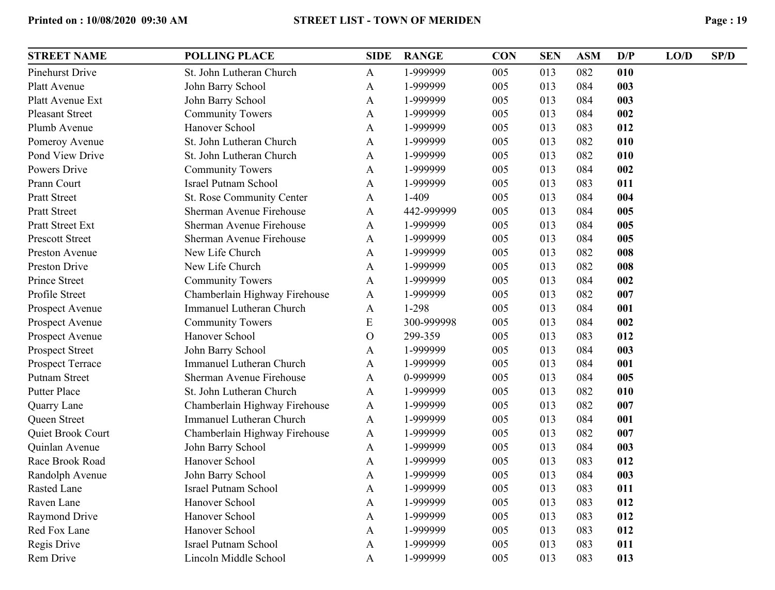| <b>STREET NAME</b>      | <b>POLLING PLACE</b>            | <b>SIDE</b>   | <b>RANGE</b> | <b>CON</b> | <b>SEN</b> | <b>ASM</b> | D/P | LO/D | SP/D |
|-------------------------|---------------------------------|---------------|--------------|------------|------------|------------|-----|------|------|
| Pinehurst Drive         | St. John Lutheran Church        | $\mathbf{A}$  | 1-999999     | 005        | 013        | 082        | 010 |      |      |
| Platt Avenue            | John Barry School               | A             | 1-999999     | 005        | 013        | 084        | 003 |      |      |
| Platt Avenue Ext        | John Barry School               | A             | 1-999999     | 005        | 013        | 084        | 003 |      |      |
| <b>Pleasant Street</b>  | <b>Community Towers</b>         | A             | 1-999999     | 005        | 013        | 084        | 002 |      |      |
| Plumb Avenue            | Hanover School                  | A             | 1-999999     | 005        | 013        | 083        | 012 |      |      |
| Pomeroy Avenue          | St. John Lutheran Church        | A             | 1-999999     | 005        | 013        | 082        | 010 |      |      |
| Pond View Drive         | St. John Lutheran Church        | A             | 1-999999     | 005        | 013        | 082        | 010 |      |      |
| Powers Drive            | <b>Community Towers</b>         | A             | 1-999999     | 005        | 013        | 084        | 002 |      |      |
| Prann Court             | <b>Israel Putnam School</b>     | A             | 1-999999     | 005        | 013        | 083        | 011 |      |      |
| <b>Pratt Street</b>     | St. Rose Community Center       | A             | $1-409$      | 005        | 013        | 084        | 004 |      |      |
| <b>Pratt Street</b>     | Sherman Avenue Firehouse        | A             | 442-999999   | 005        | 013        | 084        | 005 |      |      |
| <b>Pratt Street Ext</b> | Sherman Avenue Firehouse        | A             | 1-999999     | 005        | 013        | 084        | 005 |      |      |
| <b>Prescott Street</b>  | Sherman Avenue Firehouse        | A             | 1-999999     | 005        | 013        | 084        | 005 |      |      |
| Preston Avenue          | New Life Church                 | A             | 1-999999     | 005        | 013        | 082        | 008 |      |      |
| Preston Drive           | New Life Church                 | A             | 1-999999     | 005        | 013        | 082        | 008 |      |      |
| Prince Street           | <b>Community Towers</b>         | A             | 1-999999     | 005        | 013        | 084        | 002 |      |      |
| Profile Street          | Chamberlain Highway Firehouse   | A             | 1-999999     | 005        | 013        | 082        | 007 |      |      |
| Prospect Avenue         | <b>Immanuel Lutheran Church</b> | A             | 1-298        | 005        | 013        | 084        | 001 |      |      |
| Prospect Avenue         | <b>Community Towers</b>         | E             | 300-999998   | 005        | 013        | 084        | 002 |      |      |
| Prospect Avenue         | Hanover School                  | $\mathcal{O}$ | 299-359      | 005        | 013        | 083        | 012 |      |      |
| <b>Prospect Street</b>  | John Barry School               | A             | 1-999999     | 005        | 013        | 084        | 003 |      |      |
| <b>Prospect Terrace</b> | <b>Immanuel Lutheran Church</b> | A             | 1-999999     | 005        | 013        | 084        | 001 |      |      |
| <b>Putnam Street</b>    | Sherman Avenue Firehouse        | A             | 0-999999     | 005        | 013        | 084        | 005 |      |      |
| <b>Putter Place</b>     | St. John Lutheran Church        | A             | 1-999999     | 005        | 013        | 082        | 010 |      |      |
| Quarry Lane             | Chamberlain Highway Firehouse   | $\mathbf{A}$  | 1-999999     | 005        | 013        | 082        | 007 |      |      |
| Queen Street            | <b>Immanuel Lutheran Church</b> | A             | 1-999999     | 005        | 013        | 084        | 001 |      |      |
| Quiet Brook Court       | Chamberlain Highway Firehouse   | $\mathbf{A}$  | 1-999999     | 005        | 013        | 082        | 007 |      |      |
| Quinlan Avenue          | John Barry School               | $\mathbf{A}$  | 1-999999     | 005        | 013        | 084        | 003 |      |      |
| Race Brook Road         | Hanover School                  | A             | 1-999999     | 005        | 013        | 083        | 012 |      |      |
| Randolph Avenue         | John Barry School               | A             | 1-999999     | 005        | 013        | 084        | 003 |      |      |
| <b>Rasted Lane</b>      | <b>Israel Putnam School</b>     | $\mathbf{A}$  | 1-999999     | 005        | 013        | 083        | 011 |      |      |
| Raven Lane              | Hanover School                  | $\mathbf{A}$  | 1-999999     | 005        | 013        | 083        | 012 |      |      |
| <b>Raymond Drive</b>    | Hanover School                  | $\mathbf{A}$  | 1-999999     | 005        | 013        | 083        | 012 |      |      |
| Red Fox Lane            | Hanover School                  | $\mathbf{A}$  | 1-999999     | 005        | 013        | 083        | 012 |      |      |
| Regis Drive             | <b>Israel Putnam School</b>     | A             | 1-999999     | 005        | 013        | 083        | 011 |      |      |
| Rem Drive               | Lincoln Middle School           | $\mathbf{A}$  | 1-999999     | 005        | 013        | 083        | 013 |      |      |
|                         |                                 |               |              |            |            |            |     |      |      |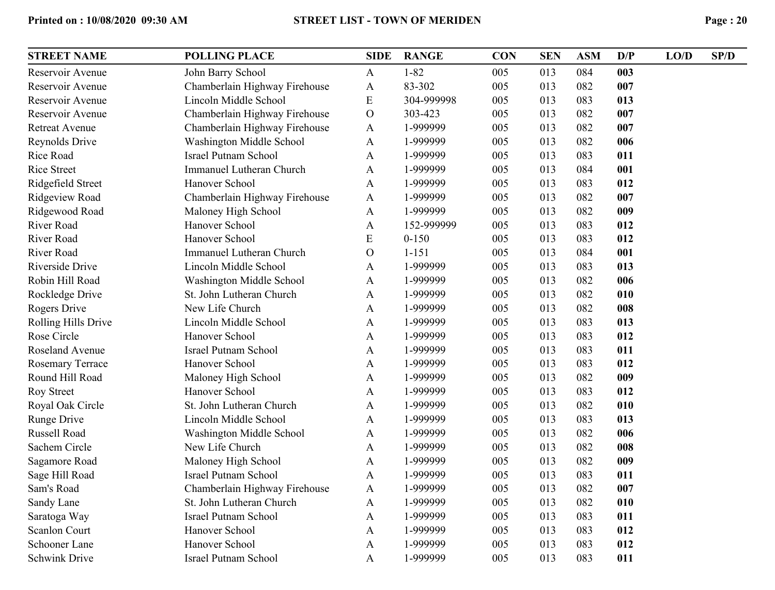| <b>STREET NAME</b>      | <b>POLLING PLACE</b>            | <b>SIDE</b>    | <b>RANGE</b> | <b>CON</b> | <b>SEN</b> | <b>ASM</b> | D/P | LO/D | SP/D |
|-------------------------|---------------------------------|----------------|--------------|------------|------------|------------|-----|------|------|
| Reservoir Avenue        | John Barry School               | $\mathbf{A}$   | $1 - 82$     | 005        | 013        | 084        | 003 |      |      |
| Reservoir Avenue        | Chamberlain Highway Firehouse   | $\mathbf{A}$   | 83-302       | 005        | 013        | 082        | 007 |      |      |
| Reservoir Avenue        | Lincoln Middle School           | ${\bf E}$      | 304-999998   | 005        | 013        | 083        | 013 |      |      |
| Reservoir Avenue        | Chamberlain Highway Firehouse   | $\overline{O}$ | 303-423      | 005        | 013        | 082        | 007 |      |      |
| <b>Retreat Avenue</b>   | Chamberlain Highway Firehouse   | A              | 1-999999     | 005        | 013        | 082        | 007 |      |      |
| Reynolds Drive          | Washington Middle School        | A              | 1-999999     | 005        | 013        | 082        | 006 |      |      |
| Rice Road               | <b>Israel Putnam School</b>     | A              | 1-999999     | 005        | 013        | 083        | 011 |      |      |
| <b>Rice Street</b>      | <b>Immanuel Lutheran Church</b> | A              | 1-999999     | 005        | 013        | 084        | 001 |      |      |
| Ridgefield Street       | Hanover School                  | A              | 1-999999     | 005        | 013        | 083        | 012 |      |      |
| Ridgeview Road          | Chamberlain Highway Firehouse   | A              | 1-999999     | 005        | 013        | 082        | 007 |      |      |
| Ridgewood Road          | Maloney High School             | A              | 1-999999     | 005        | 013        | 082        | 009 |      |      |
| River Road              | Hanover School                  | A              | 152-999999   | 005        | 013        | 083        | 012 |      |      |
| River Road              | Hanover School                  | E              | $0 - 150$    | 005        | 013        | 083        | 012 |      |      |
| <b>River Road</b>       | Immanuel Lutheran Church        | $\overline{O}$ | $1 - 151$    | 005        | 013        | 084        | 001 |      |      |
| Riverside Drive         | Lincoln Middle School           | A              | 1-999999     | 005        | 013        | 083        | 013 |      |      |
| Robin Hill Road         | Washington Middle School        | A              | 1-999999     | 005        | 013        | 082        | 006 |      |      |
| Rockledge Drive         | St. John Lutheran Church        | A              | 1-999999     | 005        | 013        | 082        | 010 |      |      |
| Rogers Drive            | New Life Church                 | A              | 1-999999     | 005        | 013        | 082        | 008 |      |      |
| Rolling Hills Drive     | Lincoln Middle School           | A              | 1-999999     | 005        | 013        | 083        | 013 |      |      |
| Rose Circle             | Hanover School                  | A              | 1-999999     | 005        | 013        | 083        | 012 |      |      |
| Roseland Avenue         | <b>Israel Putnam School</b>     | A              | 1-999999     | 005        | 013        | 083        | 011 |      |      |
| <b>Rosemary Terrace</b> | Hanover School                  | A              | 1-999999     | 005        | 013        | 083        | 012 |      |      |
| Round Hill Road         | Maloney High School             | A              | 1-999999     | 005        | 013        | 082        | 009 |      |      |
| Roy Street              | Hanover School                  | A              | 1-999999     | 005        | 013        | 083        | 012 |      |      |
| Royal Oak Circle        | St. John Lutheran Church        | A              | 1-999999     | 005        | 013        | 082        | 010 |      |      |
| <b>Runge Drive</b>      | Lincoln Middle School           | A              | 1-999999     | 005        | 013        | 083        | 013 |      |      |
| Russell Road            | Washington Middle School        | A              | 1-999999     | 005        | 013        | 082        | 006 |      |      |
| Sachem Circle           | New Life Church                 | A              | 1-999999     | 005        | 013        | 082        | 008 |      |      |
| Sagamore Road           | Maloney High School             | A              | 1-999999     | 005        | 013        | 082        | 009 |      |      |
| Sage Hill Road          | <b>Israel Putnam School</b>     | A              | 1-999999     | 005        | 013        | 083        | 011 |      |      |
| Sam's Road              | Chamberlain Highway Firehouse   | A              | 1-999999     | 005        | 013        | 082        | 007 |      |      |
| Sandy Lane              | St. John Lutheran Church        | A              | 1-999999     | 005        | 013        | 082        | 010 |      |      |
| Saratoga Way            | <b>Israel Putnam School</b>     | A              | 1-999999     | 005        | 013        | 083        | 011 |      |      |
| <b>Scanlon Court</b>    | Hanover School                  | A              | 1-999999     | 005        | 013        | 083        | 012 |      |      |
| <b>Schooner Lane</b>    | Hanover School                  | A              | 1-999999     | 005        | 013        | 083        | 012 |      |      |
| <b>Schwink Drive</b>    | Israel Putnam School            | A              | 1-999999     | 005        | 013        | 083        | 011 |      |      |
|                         |                                 |                |              |            |            |            |     |      |      |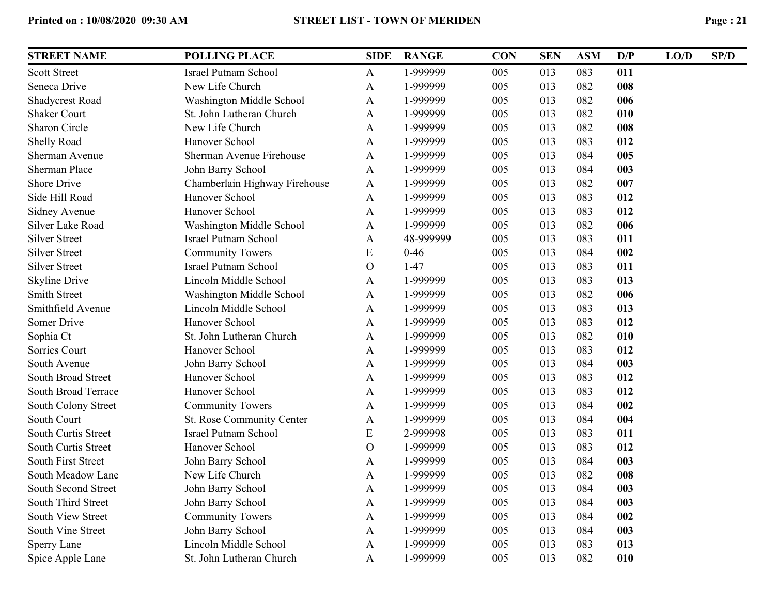| <b>STREET NAME</b>        | <b>POLLING PLACE</b>          | <b>SIDE</b>   | <b>RANGE</b> | <b>CON</b> | <b>SEN</b> | <b>ASM</b> | D/P | LO/D | SP/D |
|---------------------------|-------------------------------|---------------|--------------|------------|------------|------------|-----|------|------|
| <b>Scott Street</b>       | <b>Israel Putnam School</b>   | A             | 1-999999     | 005        | 013        | 083        | 011 |      |      |
| Seneca Drive              | New Life Church               | A             | 1-999999     | 005        | 013        | 082        | 008 |      |      |
| Shadycrest Road           | Washington Middle School      | A             | 1-999999     | 005        | 013        | 082        | 006 |      |      |
| <b>Shaker Court</b>       | St. John Lutheran Church      | A             | 1-999999     | 005        | 013        | 082        | 010 |      |      |
| <b>Sharon Circle</b>      | New Life Church               | A             | 1-999999     | 005        | 013        | 082        | 008 |      |      |
| Shelly Road               | Hanover School                | A             | 1-999999     | 005        | 013        | 083        | 012 |      |      |
| Sherman Avenue            | Sherman Avenue Firehouse      | A             | 1-999999     | 005        | 013        | 084        | 005 |      |      |
| <b>Sherman Place</b>      | John Barry School             | A             | 1-999999     | 005        | 013        | 084        | 003 |      |      |
| Shore Drive               | Chamberlain Highway Firehouse | A             | 1-999999     | 005        | 013        | 082        | 007 |      |      |
| Side Hill Road            | Hanover School                | A             | 1-999999     | 005        | 013        | 083        | 012 |      |      |
| Sidney Avenue             | Hanover School                | A             | 1-999999     | 005        | 013        | 083        | 012 |      |      |
| Silver Lake Road          | Washington Middle School      | A             | 1-999999     | 005        | 013        | 082        | 006 |      |      |
| <b>Silver Street</b>      | <b>Israel Putnam School</b>   | A             | 48-999999    | 005        | 013        | 083        | 011 |      |      |
| <b>Silver Street</b>      | <b>Community Towers</b>       | ${\bf E}$     | $0 - 46$     | 005        | 013        | 084        | 002 |      |      |
| <b>Silver Street</b>      | <b>Israel Putnam School</b>   | $\mathcal{O}$ | $1 - 47$     | 005        | 013        | 083        | 011 |      |      |
| Skyline Drive             | Lincoln Middle School         | A             | 1-999999     | 005        | 013        | 083        | 013 |      |      |
| <b>Smith Street</b>       | Washington Middle School      | A             | 1-999999     | 005        | 013        | 082        | 006 |      |      |
| Smithfield Avenue         | Lincoln Middle School         | A             | 1-999999     | 005        | 013        | 083        | 013 |      |      |
| Somer Drive               | Hanover School                | A             | 1-999999     | 005        | 013        | 083        | 012 |      |      |
| Sophia Ct                 | St. John Lutheran Church      | A             | 1-999999     | 005        | 013        | 082        | 010 |      |      |
| Sorries Court             | Hanover School                | A             | 1-999999     | 005        | 013        | 083        | 012 |      |      |
| South Avenue              | John Barry School             | A             | 1-999999     | 005        | 013        | 084        | 003 |      |      |
| South Broad Street        | Hanover School                | A             | 1-999999     | 005        | 013        | 083        | 012 |      |      |
| South Broad Terrace       | Hanover School                | A             | 1-999999     | 005        | 013        | 083        | 012 |      |      |
| South Colony Street       | <b>Community Towers</b>       | A             | 1-999999     | 005        | 013        | 084        | 002 |      |      |
| South Court               | St. Rose Community Center     | A             | 1-999999     | 005        | 013        | 084        | 004 |      |      |
| South Curtis Street       | <b>Israel Putnam School</b>   | E             | 2-999998     | 005        | 013        | 083        | 011 |      |      |
| South Curtis Street       | Hanover School                | $\mathcal{O}$ | 1-999999     | 005        | 013        | 083        | 012 |      |      |
| <b>South First Street</b> | John Barry School             | A             | 1-999999     | 005        | 013        | 084        | 003 |      |      |
| South Meadow Lane         | New Life Church               | A             | 1-999999     | 005        | 013        | 082        | 008 |      |      |
| South Second Street       | John Barry School             | A             | 1-999999     | 005        | 013        | 084        | 003 |      |      |
| South Third Street        | John Barry School             | A             | 1-999999     | 005        | 013        | 084        | 003 |      |      |
| South View Street         | <b>Community Towers</b>       | A             | 1-999999     | 005        | 013        | 084        | 002 |      |      |
| South Vine Street         | John Barry School             | A             | 1-999999     | 005        | 013        | 084        | 003 |      |      |
| Sperry Lane               | Lincoln Middle School         | A             | 1-999999     | 005        | 013        | 083        | 013 |      |      |
| Spice Apple Lane          | St. John Lutheran Church      | A             | 1-999999     | 005        | 013        | 082        | 010 |      |      |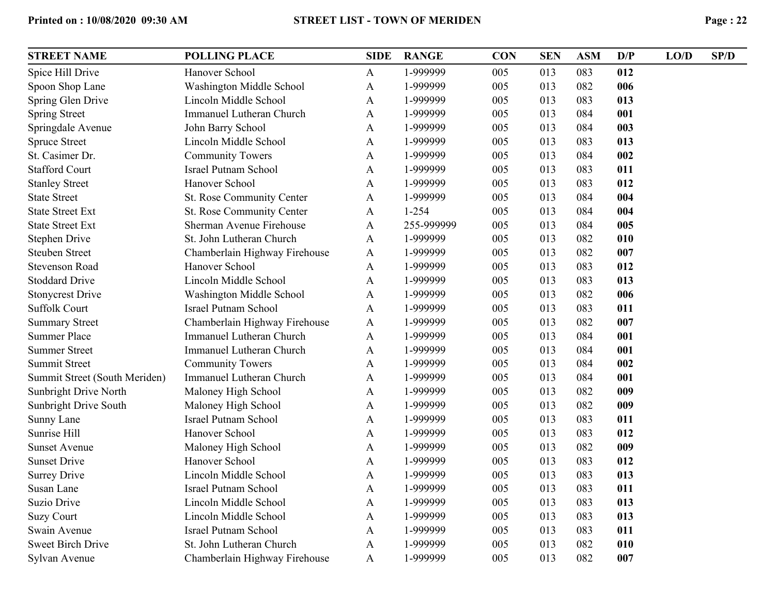| <b>STREET NAME</b>            | <b>POLLING PLACE</b>            | <b>SIDE</b>  | <b>RANGE</b> | <b>CON</b> | <b>SEN</b> | <b>ASM</b> | D/P | LO/D | SP/D |
|-------------------------------|---------------------------------|--------------|--------------|------------|------------|------------|-----|------|------|
| Spice Hill Drive              | Hanover School                  | $\mathbf{A}$ | 1-999999     | 005        | 013        | 083        | 012 |      |      |
| Spoon Shop Lane               | Washington Middle School        | $\mathbf{A}$ | 1-999999     | 005        | 013        | 082        | 006 |      |      |
| Spring Glen Drive             | Lincoln Middle School           | A            | 1-999999     | 005        | 013        | 083        | 013 |      |      |
| Spring Street                 | <b>Immanuel Lutheran Church</b> | A            | 1-999999     | 005        | 013        | 084        | 001 |      |      |
| Springdale Avenue             | John Barry School               | A            | 1-999999     | 005        | 013        | 084        | 003 |      |      |
| <b>Spruce Street</b>          | Lincoln Middle School           | A            | 1-999999     | 005        | 013        | 083        | 013 |      |      |
| St. Casimer Dr.               | <b>Community Towers</b>         | A            | 1-999999     | 005        | 013        | 084        | 002 |      |      |
| <b>Stafford Court</b>         | <b>Israel Putnam School</b>     | A            | 1-999999     | 005        | 013        | 083        | 011 |      |      |
| <b>Stanley Street</b>         | Hanover School                  | A            | 1-999999     | 005        | 013        | 083        | 012 |      |      |
| <b>State Street</b>           | St. Rose Community Center       | $\mathbf{A}$ | 1-999999     | 005        | 013        | 084        | 004 |      |      |
| <b>State Street Ext</b>       | St. Rose Community Center       | $\mathbf{A}$ | $1 - 254$    | 005        | 013        | 084        | 004 |      |      |
| <b>State Street Ext</b>       | Sherman Avenue Firehouse        | $\mathbf{A}$ | 255-999999   | 005        | 013        | 084        | 005 |      |      |
| <b>Stephen Drive</b>          | St. John Lutheran Church        | $\mathbf{A}$ | 1-999999     | 005        | 013        | 082        | 010 |      |      |
| <b>Steuben Street</b>         | Chamberlain Highway Firehouse   | $\mathbf{A}$ | 1-999999     | 005        | 013        | 082        | 007 |      |      |
| <b>Stevenson Road</b>         | Hanover School                  | A            | 1-999999     | 005        | 013        | 083        | 012 |      |      |
| <b>Stoddard Drive</b>         | Lincoln Middle School           | A            | 1-999999     | 005        | 013        | 083        | 013 |      |      |
| <b>Stonycrest Drive</b>       | Washington Middle School        | $\mathbf{A}$ | 1-999999     | 005        | 013        | 082        | 006 |      |      |
| <b>Suffolk Court</b>          | <b>Israel Putnam School</b>     | $\mathbf{A}$ | 1-999999     | 005        | 013        | 083        | 011 |      |      |
| <b>Summary Street</b>         | Chamberlain Highway Firehouse   | $\mathbf{A}$ | 1-999999     | 005        | 013        | 082        | 007 |      |      |
| <b>Summer Place</b>           | <b>Immanuel Lutheran Church</b> | $\mathbf{A}$ | 1-999999     | 005        | 013        | 084        | 001 |      |      |
| <b>Summer Street</b>          | <b>Immanuel Lutheran Church</b> | $\mathbf{A}$ | 1-999999     | 005        | 013        | 084        | 001 |      |      |
| <b>Summit Street</b>          | <b>Community Towers</b>         | A            | 1-999999     | 005        | 013        | 084        | 002 |      |      |
| Summit Street (South Meriden) | <b>Immanuel Lutheran Church</b> | A            | 1-999999     | 005        | 013        | 084        | 001 |      |      |
| <b>Sunbright Drive North</b>  | Maloney High School             | $\mathbf{A}$ | 1-999999     | 005        | 013        | 082        | 009 |      |      |
| Sunbright Drive South         | Maloney High School             | A            | 1-999999     | 005        | 013        | 082        | 009 |      |      |
| Sunny Lane                    | <b>Israel Putnam School</b>     | A            | 1-999999     | 005        | 013        | 083        | 011 |      |      |
| Sunrise Hill                  | Hanover School                  | A            | 1-999999     | 005        | 013        | 083        | 012 |      |      |
| <b>Sunset Avenue</b>          | Maloney High School             | A            | 1-999999     | 005        | 013        | 082        | 009 |      |      |
| <b>Sunset Drive</b>           | Hanover School                  | A            | 1-999999     | 005        | 013        | 083        | 012 |      |      |
| <b>Surrey Drive</b>           | Lincoln Middle School           | A            | 1-999999     | 005        | 013        | 083        | 013 |      |      |
| Susan Lane                    | <b>Israel Putnam School</b>     | A            | 1-999999     | 005        | 013        | 083        | 011 |      |      |
| <b>Suzio Drive</b>            | Lincoln Middle School           | A            | 1-999999     | 005        | 013        | 083        | 013 |      |      |
| <b>Suzy Court</b>             | Lincoln Middle School           | $\mathbf{A}$ | 1-999999     | 005        | 013        | 083        | 013 |      |      |
| Swain Avenue                  | <b>Israel Putnam School</b>     | $\mathbf{A}$ | 1-999999     | 005        | 013        | 083        | 011 |      |      |
| <b>Sweet Birch Drive</b>      | St. John Lutheran Church        | $\mathbf{A}$ | 1-999999     | 005        | 013        | 082        | 010 |      |      |
| Sylvan Avenue                 | Chamberlain Highway Firehouse   | A            | 1-999999     | 005        | 013        | 082        | 007 |      |      |
|                               |                                 |              |              |            |            |            |     |      |      |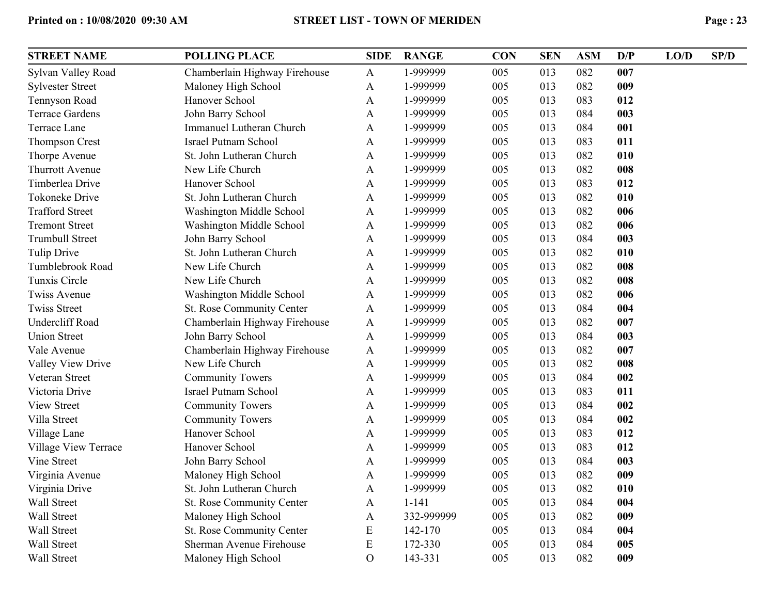| <b>STREET NAME</b>          | <b>POLLING PLACE</b>            | <b>SIDE</b>    | <b>RANGE</b> | <b>CON</b> | <b>SEN</b> | <b>ASM</b> | D/P | LO/D | SP/D |
|-----------------------------|---------------------------------|----------------|--------------|------------|------------|------------|-----|------|------|
| Sylvan Valley Road          | Chamberlain Highway Firehouse   | $\mathbf{A}$   | 1-999999     | 005        | 013        | 082        | 007 |      |      |
| <b>Sylvester Street</b>     | Maloney High School             | $\mathbf{A}$   | 1-999999     | 005        | 013        | 082        | 009 |      |      |
| Tennyson Road               | Hanover School                  | A              | 1-999999     | 005        | 013        | 083        | 012 |      |      |
| <b>Terrace Gardens</b>      | John Barry School               | $\mathbf{A}$   | 1-999999     | 005        | 013        | 084        | 003 |      |      |
| Terrace Lane                | <b>Immanuel Lutheran Church</b> | $\mathbf{A}$   | 1-999999     | 005        | 013        | 084        | 001 |      |      |
| <b>Thompson Crest</b>       | <b>Israel Putnam School</b>     | A              | 1-999999     | 005        | 013        | 083        | 011 |      |      |
| Thorpe Avenue               | St. John Lutheran Church        | $\mathbf{A}$   | 1-999999     | 005        | 013        | 082        | 010 |      |      |
| <b>Thurrott Avenue</b>      | New Life Church                 | A              | 1-999999     | 005        | 013        | 082        | 008 |      |      |
| Timberlea Drive             | Hanover School                  | A              | 1-999999     | 005        | 013        | 083        | 012 |      |      |
| <b>Tokoneke Drive</b>       | St. John Lutheran Church        | $\mathbf{A}$   | 1-999999     | 005        | 013        | 082        | 010 |      |      |
| <b>Trafford Street</b>      | Washington Middle School        | $\mathbf{A}$   | 1-999999     | 005        | 013        | 082        | 006 |      |      |
| <b>Tremont Street</b>       | Washington Middle School        | $\mathbf{A}$   | 1-999999     | 005        | 013        | 082        | 006 |      |      |
| <b>Trumbull Street</b>      | John Barry School               | $\mathbf{A}$   | 1-999999     | 005        | 013        | 084        | 003 |      |      |
| <b>Tulip Drive</b>          | St. John Lutheran Church        | A              | 1-999999     | 005        | 013        | 082        | 010 |      |      |
| Tumblebrook Road            | New Life Church                 | A              | 1-999999     | 005        | 013        | 082        | 008 |      |      |
| Tunxis Circle               | New Life Church                 | $\mathbf{A}$   | 1-999999     | 005        | 013        | 082        | 008 |      |      |
| <b>Twiss Avenue</b>         | Washington Middle School        | $\mathbf{A}$   | 1-999999     | 005        | 013        | 082        | 006 |      |      |
| <b>Twiss Street</b>         | St. Rose Community Center       | $\mathbf{A}$   | 1-999999     | 005        | 013        | 084        | 004 |      |      |
| <b>Undercliff Road</b>      | Chamberlain Highway Firehouse   | $\mathbf{A}$   | 1-999999     | 005        | 013        | 082        | 007 |      |      |
| <b>Union Street</b>         | John Barry School               | $\mathbf{A}$   | 1-999999     | 005        | 013        | 084        | 003 |      |      |
| Vale Avenue                 | Chamberlain Highway Firehouse   | $\mathbf{A}$   | 1-999999     | 005        | 013        | 082        | 007 |      |      |
| Valley View Drive           | New Life Church                 | $\mathbf{A}$   | 1-999999     | 005        | 013        | 082        | 008 |      |      |
| Veteran Street              | <b>Community Towers</b>         | $\mathbf{A}$   | 1-999999     | 005        | 013        | 084        | 002 |      |      |
| Victoria Drive              | Israel Putnam School            | A              | 1-999999     | 005        | 013        | 083        | 011 |      |      |
| <b>View Street</b>          | <b>Community Towers</b>         | $\mathbf{A}$   | 1-999999     | 005        | 013        | 084        | 002 |      |      |
| Villa Street                | <b>Community Towers</b>         | $\mathbf{A}$   | 1-999999     | 005        | 013        | 084        | 002 |      |      |
| Village Lane                | Hanover School                  | A              | 1-999999     | 005        | 013        | 083        | 012 |      |      |
| <b>Village View Terrace</b> | Hanover School                  | $\mathbf{A}$   | 1-999999     | 005        | 013        | 083        | 012 |      |      |
| Vine Street                 | John Barry School               | A              | 1-999999     | 005        | 013        | 084        | 003 |      |      |
| Virginia Avenue             | Maloney High School             | $\mathbf{A}$   | 1-999999     | 005        | 013        | 082        | 009 |      |      |
| Virginia Drive              | St. John Lutheran Church        | $\mathbf{A}$   | 1-999999     | 005        | 013        | 082        | 010 |      |      |
| Wall Street                 | St. Rose Community Center       | $\mathbf{A}$   | $1 - 141$    | 005        | 013        | 084        | 004 |      |      |
| Wall Street                 | Maloney High School             | $\mathbf{A}$   | 332-999999   | 005        | 013        | 082        | 009 |      |      |
| Wall Street                 | St. Rose Community Center       | E              | 142-170      | 005        | 013        | 084        | 004 |      |      |
| Wall Street                 | Sherman Avenue Firehouse        | E              | 172-330      | 005        | 013        | 084        | 005 |      |      |
| Wall Street                 | Maloney High School             | $\overline{O}$ | 143-331      | 005        | 013        | 082        | 009 |      |      |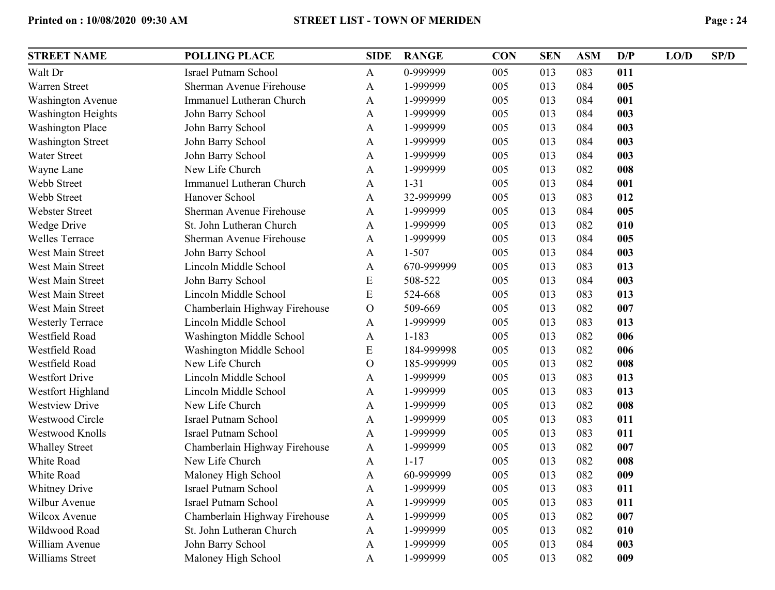| <b>STREET NAME</b>        | <b>POLLING PLACE</b>            | <b>SIDE</b>   | <b>RANGE</b> | <b>CON</b> | <b>SEN</b> | <b>ASM</b> | D/P | LO/D | SP/D |
|---------------------------|---------------------------------|---------------|--------------|------------|------------|------------|-----|------|------|
| Walt Dr                   | <b>Israel Putnam School</b>     | A             | 0-999999     | 005        | 013        | 083        | 011 |      |      |
| Warren Street             | Sherman Avenue Firehouse        | A             | 1-999999     | 005        | 013        | 084        | 005 |      |      |
| Washington Avenue         | Immanuel Lutheran Church        | A             | 1-999999     | 005        | 013        | 084        | 001 |      |      |
| <b>Washington Heights</b> | John Barry School               | A             | 1-999999     | 005        | 013        | 084        | 003 |      |      |
| <b>Washington Place</b>   | John Barry School               | A             | 1-999999     | 005        | 013        | 084        | 003 |      |      |
| <b>Washington Street</b>  | John Barry School               | A             | 1-999999     | 005        | 013        | 084        | 003 |      |      |
| <b>Water Street</b>       | John Barry School               | A             | 1-999999     | 005        | 013        | 084        | 003 |      |      |
| Wayne Lane                | New Life Church                 | A             | 1-999999     | 005        | 013        | 082        | 008 |      |      |
| Webb Street               | <b>Immanuel Lutheran Church</b> | A             | $1 - 31$     | 005        | 013        | 084        | 001 |      |      |
| Webb Street               | Hanover School                  | A             | 32-999999    | 005        | 013        | 083        | 012 |      |      |
| Webster Street            | Sherman Avenue Firehouse        | $\mathbf{A}$  | 1-999999     | 005        | 013        | 084        | 005 |      |      |
| Wedge Drive               | St. John Lutheran Church        | A             | 1-999999     | 005        | 013        | 082        | 010 |      |      |
| <b>Welles Terrace</b>     | Sherman Avenue Firehouse        | A             | 1-999999     | 005        | 013        | 084        | 005 |      |      |
| West Main Street          | John Barry School               | $\mathbf{A}$  | $1 - 507$    | 005        | 013        | 084        | 003 |      |      |
| West Main Street          | Lincoln Middle School           | A             | 670-999999   | 005        | 013        | 083        | 013 |      |      |
| West Main Street          | John Barry School               | ${\bf E}$     | 508-522      | 005        | 013        | 084        | 003 |      |      |
| West Main Street          | Lincoln Middle School           | E             | 524-668      | 005        | 013        | 083        | 013 |      |      |
| West Main Street          | Chamberlain Highway Firehouse   | $\mathcal{O}$ | 509-669      | 005        | 013        | 082        | 007 |      |      |
| <b>Westerly Terrace</b>   | Lincoln Middle School           | A             | 1-999999     | 005        | 013        | 083        | 013 |      |      |
| Westfield Road            | Washington Middle School        | A             | $1 - 183$    | 005        | 013        | 082        | 006 |      |      |
| Westfield Road            | Washington Middle School        | E             | 184-999998   | 005        | 013        | 082        | 006 |      |      |
| Westfield Road            | New Life Church                 | $\mathcal{O}$ | 185-999999   | 005        | 013        | 082        | 008 |      |      |
| <b>Westfort Drive</b>     | Lincoln Middle School           | A             | 1-999999     | 005        | 013        | 083        | 013 |      |      |
| Westfort Highland         | Lincoln Middle School           | A             | 1-999999     | 005        | 013        | 083        | 013 |      |      |
| <b>Westview Drive</b>     | New Life Church                 | $\mathbf{A}$  | 1-999999     | 005        | 013        | 082        | 008 |      |      |
| <b>Westwood Circle</b>    | <b>Israel Putnam School</b>     | A             | 1-999999     | 005        | 013        | 083        | 011 |      |      |
| Westwood Knolls           | <b>Israel Putnam School</b>     | $\mathbf{A}$  | 1-999999     | 005        | 013        | 083        | 011 |      |      |
| <b>Whalley Street</b>     | Chamberlain Highway Firehouse   | $\mathbf{A}$  | 1-999999     | 005        | 013        | 082        | 007 |      |      |
| White Road                | New Life Church                 | A             | $1 - 17$     | 005        | 013        | 082        | 008 |      |      |
| White Road                | Maloney High School             | A             | 60-999999    | 005        | 013        | 082        | 009 |      |      |
| <b>Whitney Drive</b>      | <b>Israel Putnam School</b>     | $\mathbf{A}$  | 1-999999     | 005        | 013        | 083        | 011 |      |      |
| Wilbur Avenue             | <b>Israel Putnam School</b>     | $\mathbf{A}$  | 1-999999     | 005        | 013        | 083        | 011 |      |      |
| Wilcox Avenue             | Chamberlain Highway Firehouse   | $\mathbf{A}$  | 1-999999     | 005        | 013        | 082        | 007 |      |      |
| Wildwood Road             | St. John Lutheran Church        | $\mathbf{A}$  | 1-999999     | 005        | 013        | 082        | 010 |      |      |
| William Avenue            | John Barry School               | $\mathbf{A}$  | 1-999999     | 005        | 013        | 084        | 003 |      |      |
| Williams Street           | Maloney High School             | A             | 1-999999     | 005        | 013        | 082        | 009 |      |      |